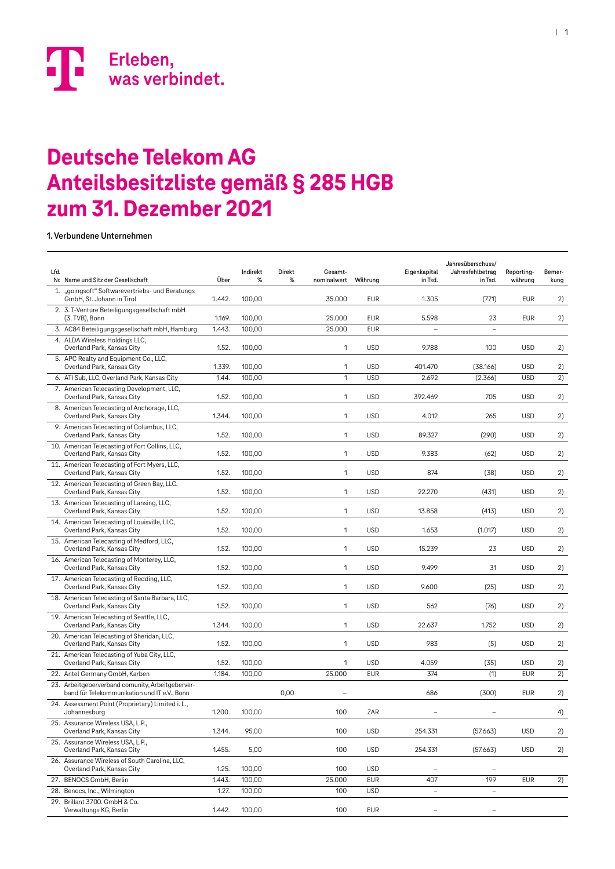

#### **Deutsche Telekom AG Deutsche Telekom AG Anteilsbesitzliste gemäß § 285 HGB Anteilsbesitzliste gemäß § 285 HGB zum 31. Dezember 2021 zum 31. Dezember 2021**

**1. Verbundene Unternehmen**

| Lfd. | Nr. Name und Sitz der Gesellschaft                                                               | Über   | Indirekt<br>% | Direkt<br>℅ | Gesamt-<br>nominalwert | Währung    | Eigenkapital<br>in Tsd.  | Jahresüberschuss/<br>Jahresfehlbetrag<br>in Tsd. | Reporting-<br>währung | Bemer-<br>kung  |
|------|--------------------------------------------------------------------------------------------------|--------|---------------|-------------|------------------------|------------|--------------------------|--------------------------------------------------|-----------------------|-----------------|
|      | 1. "goingsoft" Softwarevertriebs- und Beratungs<br>GmbH, St. Johann in Tirol                     | 1.442. | 100,00        |             | 35.000                 | <b>EUR</b> | 1.305                    | (771)                                            | <b>EUR</b>            | 2)              |
|      | 2. 3. T-Venture Beteiligungsgesellschaft mbH<br>(3. TVB), Bonn                                   | 1.169. | 100,00        |             | 25.000                 | <b>EUR</b> | 5.598                    | 23                                               | <b>EUR</b>            | 2)              |
|      | 3. AC84 Beteiligungsgesellschaft mbH, Hamburg                                                    | 1.443. | 100,00        |             | 25.000                 | <b>EUR</b> |                          | $\overline{a}$                                   |                       |                 |
|      | 4. ALDA Wireless Holdings LLC,<br>Overland Park, Kansas City                                     | 1.52.  | 100,00        |             | 1                      | <b>USD</b> | 9.788                    | 100                                              | <b>USD</b>            | 2)              |
|      | 5. APC Realty and Equipment Co., LLC,<br>Overland Park, Kansas City                              | 1.339. | 100,00        |             | 1                      | <b>USD</b> | 401.470                  | (38.166)                                         | <b>USD</b>            | 2)              |
|      | 6. ATI Sub, LLC, Overland Park, Kansas City                                                      | 1.44.  | 100,00        |             | 1                      | <b>USD</b> | 2.692                    | (2.366)                                          | <b>USD</b>            | $\overline{2)}$ |
|      | 7. American Telecasting Development, LLC,<br>Overland Park, Kansas City                          | 1.52.  | 100,00        |             | 1                      | <b>USD</b> | 392.469                  | 705                                              | <b>USD</b>            | 2)              |
|      | 8. American Telecasting of Anchorage, LLC,<br>Overland Park, Kansas City                         | 1.344. | 100,00        |             | 1                      | <b>USD</b> | 4.012                    | 265                                              | <b>USD</b>            | 2)              |
|      | 9. American Telecasting of Columbus, LLC,<br>Overland Park, Kansas City                          | 1.52.  | 100,00        |             | 1                      | <b>USD</b> | 89.327                   | (290)                                            | <b>USD</b>            | 2)              |
|      | 10. American Telecasting of Fort Collins, LLC,<br>Overland Park, Kansas City                     | 1.52.  | 100,00        |             | 1                      | <b>USD</b> | 9.383                    | (62)                                             | <b>USD</b>            | 2)              |
|      | 11. American Telecasting of Fort Myers, LLC,<br>Overland Park, Kansas City                       | 1.52.  | 100,00        |             | 1                      | <b>USD</b> | 874                      | (38)                                             | <b>USD</b>            | 2)              |
|      | 12. American Telecasting of Green Bay, LLC,<br>Overland Park, Kansas City                        | 1.52.  | 100,00        |             | 1                      | <b>USD</b> | 22.270                   | (431)                                            | <b>USD</b>            | 2)              |
|      | 13. American Telecasting of Lansing, LLC,<br>Overland Park, Kansas City                          | 1.52.  | 100,00        |             | 1                      | <b>USD</b> | 13.858                   | (413)                                            | <b>USD</b>            | 2)              |
|      | 14. American Telecasting of Louisville, LLC,<br>Overland Park, Kansas City                       | 1.52.  | 100,00        |             | 1                      | <b>USD</b> | 1.653                    | (1.017)                                          | <b>USD</b>            | 2)              |
|      | 15. American Telecasting of Medford, LLC,<br>Overland Park, Kansas City                          | 1.52.  | 100,00        |             | 1                      | <b>USD</b> | 15.239                   | 23                                               | <b>USD</b>            | 2)              |
|      | 16. American Telecasting of Monterey, LLC,<br>Overland Park, Kansas City                         | 1.52.  | 100,00        |             | 1                      | <b>USD</b> | 9.499                    | 31                                               | <b>USD</b>            | 2)              |
|      | 17. American Telecasting of Redding, LLC,<br>Overland Park, Kansas City                          | 1.52.  | 100,00        |             | 1                      | <b>USD</b> | 9.600                    | (25)                                             | <b>USD</b>            | 2)              |
|      | 18. American Telecasting of Santa Barbara, LLC,<br>Overland Park, Kansas City                    | 1.52.  | 100,00        |             | 1                      | <b>USD</b> | 562                      | (76)                                             | <b>USD</b>            | 2)              |
|      | 19. American Telecasting of Seattle, LLC,<br>Overland Park, Kansas City                          | 1.344. | 100,00        |             | 1                      | <b>USD</b> | 22.637                   | 1.752                                            | <b>USD</b>            | 2)              |
|      | 20. American Telecasting of Sheridan, LLC,<br>Overland Park, Kansas City                         | 1.52.  | 100,00        |             | 1                      | <b>USD</b> | 983                      | (5)                                              | <b>USD</b>            | 2)              |
|      | 21. American Telecasting of Yuba City, LLC,<br>Overland Park, Kansas City                        | 1.52.  | 100,00        |             | 1                      | <b>USD</b> | 4.059                    | (35)                                             | <b>USD</b>            | 2)              |
|      | 22. Antel Germany GmbH, Karben                                                                   | 1.184. | 100,00        |             | 25.000                 | <b>EUR</b> | 374                      | (1)                                              | <b>EUR</b>            | 2)              |
|      | 23. Arbeitgeberverband comunity, Arbeitgeberver-<br>band für Telekommunikation und IT e.V., Bonn |        |               | 0,00        |                        |            | 686                      | (300)                                            | <b>EUR</b>            | 2)              |
|      | 24. Assessment Point (Proprietary) Limited i. L.,<br>Johannesburg                                | 1.200. | 100,00        |             | 100                    | ZAR        |                          |                                                  |                       | 4)              |
|      | 25. Assurance Wireless USA, L.P.,<br>Overland Park, Kansas City                                  | 1.344. | 95,00         |             | 100                    | <b>USD</b> | 254.331                  | (57.663)                                         | <b>USD</b>            | 2)              |
|      | 25. Assurance Wireless USA, L.P.,<br>Overland Park, Kansas City                                  | 1.455. | 5,00          |             | 100                    | <b>USD</b> | 254.331                  | (57.663)                                         | <b>USD</b>            | 2)              |
|      | 26. Assurance Wireless of South Carolina, LLC,<br>Overland Park, Kansas City                     | 1.25.  | 100,00        |             | 100                    | <b>USD</b> | $\overline{a}$           | $\overline{a}$                                   |                       |                 |
|      | 27. BENOCS GmbH, Berlin                                                                          | 1.443. | 100,00        |             | 25.000                 | <b>EUR</b> | 407                      | 199                                              | <b>EUR</b>            | 2)              |
|      | 28. Benocs, Inc., Wilmington                                                                     | 1.27.  | 100,00        |             | 100                    | <b>USD</b> | $\qquad \qquad -$        | $\overline{\phantom{a}}$                         |                       |                 |
|      | 29. Brillant 3700. GmbH & Co.<br>Verwaltungs KG, Berlin                                          | 1.442. | 100,00        |             | 100                    | <b>EUR</b> | $\overline{\phantom{0}}$ | $\overline{a}$                                   |                       |                 |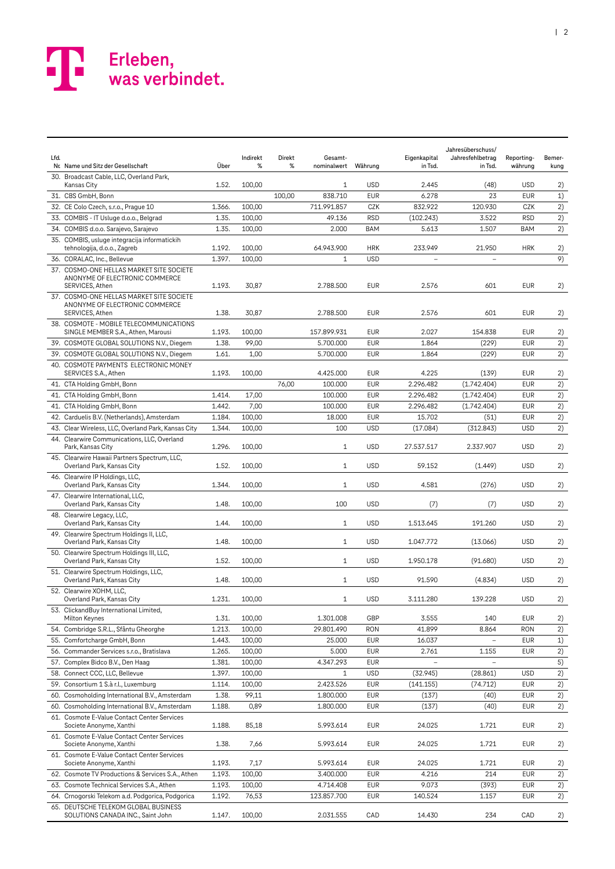| Lfd. | Nr Name und Sitz der Gesellschaft                                             | Über   | Indirekt<br>% | Direkt<br>% | Gesamt-<br>nominalwert | Währung    | Eigenkapital<br>in Tsd. | Jahresüberschuss/<br>Jahresfehlbetrag<br>in Tsd. | Reporting-<br>währung | Bemer-<br>kung |
|------|-------------------------------------------------------------------------------|--------|---------------|-------------|------------------------|------------|-------------------------|--------------------------------------------------|-----------------------|----------------|
|      | 30. Broadcast Cable, LLC, Overland Park,<br>Kansas City                       | 1.52.  | 100,00        |             | $\mathbf{1}$           | <b>USD</b> | 2.445                   | (48)                                             | <b>USD</b>            | 2)             |
|      | 31. CBS GmbH, Bonn                                                            |        |               | 100.00      | 838.710                | <b>EUR</b> | 6.278                   | 23                                               | <b>EUR</b>            | 1)             |
|      | 32. CE Colo Czech, s.r.o., Prague 10                                          | 1.366. | 100,00        |             | 711.991.857            | CZK        | 832.922                 | 120.930                                          | CZK                   | 2)             |
|      | 33. COMBIS - IT Usluge d.o.o., Belgrad                                        | 1.35.  | 100,00        |             | 49.136                 | <b>RSD</b> | (102.243)               | 3.522                                            | <b>RSD</b>            | 2)             |
|      | 34. COMBIS d.o.o. Sarajevo, Sarajevo                                          | 1.35.  | 100,00        |             | 2.000                  | BAM        | 5.613                   | 1.507                                            | <b>BAM</b>            | 2)             |
|      | 35. COMBIS, usluge integracija informatickih<br>tehnologija, d.o.o., Zagreb   | 1.192. | 100,00        |             | 64.943.900             | <b>HRK</b> | 233.949                 | 21.950                                           | <b>HRK</b>            | 2)             |
|      | 36. CORALAC, Inc., Bellevue                                                   | 1.397. | 100,00        |             | 1                      | <b>USD</b> |                         |                                                  |                       | 9)             |
|      | 37. COSMO-ONE HELLAS MARKET SITE SOCIETE                                      |        |               |             |                        |            |                         |                                                  |                       |                |
|      | ANONYME OF ELECTRONIC COMMERCE<br>SERVICES, Athen                             | 1.193. | 30,87         |             | 2.788.500              | <b>EUR</b> | 2.576                   | 601                                              | <b>EUR</b>            | 2)             |
|      | 37. COSMO-ONE HELLAS MARKET SITE SOCIETE                                      |        |               |             |                        |            |                         |                                                  |                       |                |
|      | ANONYME OF ELECTRONIC COMMERCE<br>SERVICES, Athen                             | 1.38.  | 30,87         |             | 2.788.500              | <b>EUR</b> | 2.576                   | 601                                              | <b>EUR</b>            | 2)             |
|      | 38. COSMOTE - MOBILE TELECOMMUNICATIONS<br>SINGLE MEMBER S.A., Athen, Marousi | 1.193. | 100,00        |             | 157.899.931            | EUR        | 2.027                   | 154.838                                          | <b>EUR</b>            | 2)             |
|      | 39. COSMOTE GLOBAL SOLUTIONS N.V., Diegem                                     | 1.38.  | 99,00         |             | 5.700.000              | <b>EUR</b> | 1.864                   | (229)                                            | <b>EUR</b>            | 2)             |
|      | 39. COSMOTE GLOBAL SOLUTIONS N.V., Diegem                                     | 1.61.  | 1,00          |             | 5.700.000              | <b>EUR</b> | 1.864                   | (229)                                            | <b>EUR</b>            | 2)             |
|      | 40. COSMOTE PAYMENTS ELECTRONIC MONEY                                         |        |               |             |                        |            |                         |                                                  |                       |                |
|      | SERVICES S.A., Athen                                                          | 1.193. | 100.00        |             | 4.425.000              | EUR        | 4.225                   | (139)                                            | <b>EUR</b>            | 2)             |
|      | 41. CTA Holding GmbH, Bonn                                                    |        |               | 76,00       | 100.000                | <b>EUR</b> | 2.296.482               | (1.742.404)                                      | <b>EUR</b>            | 2)             |
|      | 41. CTA Holding GmbH, Bonn                                                    | 1.414. | 17,00         |             | 100.000                | EUR        | 2.296.482               | (1.742.404)                                      | <b>EUR</b>            | 2)             |
|      | 41. CTA Holding GmbH, Bonn                                                    | 1.442. | 7,00          |             | 100.000                | <b>EUR</b> | 2.296.482               | (1.742.404)                                      | <b>EUR</b>            | 2)             |
|      | 42. Carduelis B.V. (Netherlands), Amsterdam                                   | 1.184. | 100,00        |             | 18.000                 | <b>EUR</b> | 15.702                  | (51)                                             | <b>EUR</b>            | 2)             |
|      | 43. Clear Wireless, LLC, Overland Park, Kansas City                           | 1.344. | 100,00        |             | 100                    | <b>USD</b> | (17.084)                | (312.843)                                        | <b>USD</b>            | 2)             |
|      | 44. Clearwire Communications, LLC, Overland<br>Park, Kansas City              | 1.296. | 100,00        |             | $\mathbf{1}$           | <b>USD</b> | 27.537.517              | 2.337.907                                        | <b>USD</b>            | 2)             |
|      | 45. Clearwire Hawaii Partners Spectrum, LLC,<br>Overland Park, Kansas City    | 1.52.  | 100,00        |             | $\mathbf{1}$           | <b>USD</b> | 59.152                  | (1.449)                                          | <b>USD</b>            | 2)             |
|      | 46. Clearwire IP Holdings, LLC,                                               |        |               |             |                        |            |                         |                                                  |                       |                |
|      | Overland Park, Kansas City<br>47. Clearwire International, LLC,               | 1.344. | 100,00        |             | $\mathbf{1}$           | <b>USD</b> | 4.581                   | (276)                                            | <b>USD</b>            | 2)             |
|      | Overland Park, Kansas City                                                    | 1.48.  | 100,00        |             | 100                    | <b>USD</b> | (7)                     | (7)                                              | <b>USD</b>            | 2)             |
|      | 48. Clearwire Legacy, LLC,<br>Overland Park, Kansas City                      | 1.44.  | 100,00        |             | $\mathbf{1}$           | <b>USD</b> | 1.513.645               | 191.260                                          | <b>USD</b>            | 2)             |
|      | 49. Clearwire Spectrum Holdings II, LLC,<br>Overland Park, Kansas City        | 1.48.  | 100,00        |             | $\mathbf{1}$           | <b>USD</b> | 1.047.772               | (13.066)                                         | <b>USD</b>            | 2)             |
|      | 50. Clearwire Spectrum Holdings III, LLC,<br>Overland Park, Kansas City       | 1.52.  | 100,00        |             | $\mathbf{1}$           | <b>USD</b> | 1.950.178               | (91.680)                                         | <b>USD</b>            | 2)             |
|      | 51. Clearwire Spectrum Holdings, LLC,<br>Overland Park, Kansas City           | 1.48.  | 100,00        |             | $\mathbf{1}$           | <b>USD</b> | 91.590                  | (4.834)                                          | <b>USD</b>            | 2)             |
|      | 52. Clearwire XOHM, LLC,                                                      |        |               |             |                        |            |                         |                                                  |                       |                |
|      | Overland Park, Kansas City                                                    | 1.231. | 100,00        |             | 1                      | <b>USD</b> | 3.111.280               | 139.228                                          | <b>USD</b>            | 2)             |
|      | 53. ClickandBuy International Limited,<br>Milton Keynes                       | 1.31.  | 100,00        |             | 1.301.008              | GBP        | 3.555                   | 140                                              | <b>EUR</b>            | 2)             |
|      | 54. Combridge S.R.L., Sfântu Gheorghe                                         | 1.213. | 100,00        |             | 29.801.490             | RON        | 41.899                  | 8.864                                            | <b>RON</b>            | 2)             |
|      | 55. Comfortcharge GmbH, Bonn                                                  | 1.443. | 100,00        |             | 25.000                 | <b>EUR</b> | 16.037                  |                                                  | <b>EUR</b>            | 1)             |
|      | 56. Commander Services s.r.o., Bratislava                                     | 1.265. | 100,00        |             | 5.000                  | <b>EUR</b> | 2.761                   | 1.155                                            | <b>EUR</b>            | 2)             |
|      | 57. Complex Bidco B.V., Den Haag                                              | 1.381. | 100,00        |             | 4.347.293              | <b>EUR</b> |                         |                                                  |                       | 5)             |
|      | 58. Connect CCC, LLC, Bellevue                                                | 1.397. | 100,00        |             | 1                      | <b>USD</b> | (32.945)                | (28.861)                                         | <b>USD</b>            | 2)             |
|      | 59. Consortium 1 S.à r.l., Luxemburg                                          | 1.114. | 100,00        |             | 2.423.526              | <b>EUR</b> | (141.155)               | (74.712)                                         | <b>EUR</b>            | 2)             |
|      | 60. Cosmoholding International B.V., Amsterdam                                | 1.38.  | 99,11         |             | 1.800.000              | <b>EUR</b> | (137)                   | (40)                                             | <b>EUR</b>            | 2)             |
|      | 60. Cosmoholding International B.V., Amsterdam                                | 1.188. | 0,89          |             | 1.800.000              | EUR        | (137)                   | (40)                                             | <b>EUR</b>            | 2)             |
|      | 61. Cosmote E-Value Contact Center Services<br>Societe Anonyme, Xanthi        | 1.188. | 85,18         |             | 5.993.614              | <b>EUR</b> | 24.025                  | 1.721                                            | EUR                   | 2)             |
|      | 61. Cosmote E-Value Contact Center Services<br>Societe Anonyme, Xanthi        | 1.38.  | 7,66          |             | 5.993.614              | <b>EUR</b> | 24.025                  | 1.721                                            | EUR                   | 2)             |
|      | 61. Cosmote E-Value Contact Center Services<br>Societe Anonyme, Xanthi        | 1.193. | 7,17          |             | 5.993.614              | <b>EUR</b> | 24.025                  | 1.721                                            | EUR                   |                |
|      | 62. Cosmote TV Productions & Services S.A., Athen                             | 1.193. | 100,00        |             | 3.400.000              | <b>EUR</b> | 4.216                   | 214                                              | <b>EUR</b>            | 2)<br>2)       |
|      | 63. Cosmote Technical Services S.A., Athen                                    | 1.193. | 100,00        |             | 4.714.408              | <b>EUR</b> | 9.073                   | (393)                                            | <b>EUR</b>            |                |
|      | 64. Crnogorski Telekom a.d. Podgorica, Podgorica                              | 1.192. | 76,53         |             | 123.857.700            | <b>EUR</b> | 140.524                 | 1.157                                            | <b>EUR</b>            | 2)<br>2)       |
|      | 65. DEUTSCHE TELEKOM GLOBAL BUSINESS                                          |        |               |             |                        |            |                         |                                                  |                       |                |
|      | SOLUTIONS CANADA INC., Saint John                                             | 1.147. | 100,00        |             | 2.031.555              | CAD        | 14.430                  | 234                                              | CAD                   | 2)             |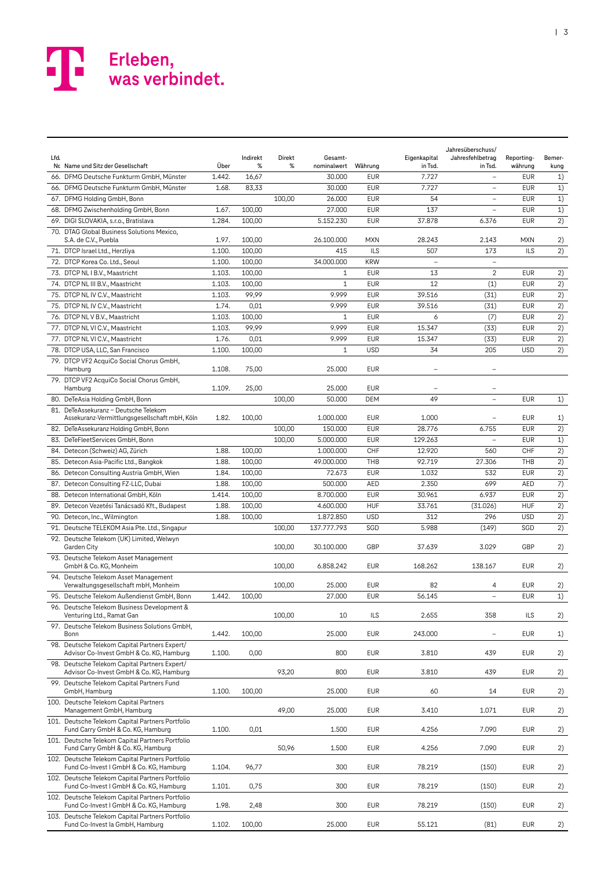| Lfd. | Nr. Name und Sitz der Gesellschaft                                                          | Über   | Indirekt<br>% | Direkt<br>% | Gesamt-<br>nominalwert | Währung    | Eigenkapital<br>in Tsd. | Jahresüberschuss/<br>Jahresfehlbetrag<br>in Tsd. | Reporting-<br>währung | Bemer-<br>kung |
|------|---------------------------------------------------------------------------------------------|--------|---------------|-------------|------------------------|------------|-------------------------|--------------------------------------------------|-----------------------|----------------|
|      | 66. DFMG Deutsche Funkturm GmbH, Münster                                                    | 1.442. | 16,67         |             | 30.000                 | <b>EUR</b> | 7.727                   | $\overline{\phantom{0}}$                         | <b>EUR</b>            | 1)             |
|      | 66. DFMG Deutsche Funkturm GmbH, Münster                                                    | 1.68.  | 83,33         |             | 30.000                 | <b>EUR</b> | 7.727                   | $\overline{a}$                                   | <b>EUR</b>            | 1)             |
|      | 67. DFMG Holding GmbH, Bonn                                                                 |        |               | 100,00      | 26.000                 | <b>EUR</b> | 54                      | $\overline{a}$                                   | <b>EUR</b>            | 1)             |
|      | 68. DFMG Zwischenholding GmbH, Bonn                                                         | 1.67.  | 100,00        |             | 27,000                 | <b>EUR</b> | 137                     | $\qquad \qquad -$                                | <b>EUR</b>            | 1)             |
|      | 69. DIGI SLOVAKIA, s.r.o., Bratislava                                                       | 1.284. | 100,00        |             | 5.152.230              | <b>EUR</b> | 37.878                  | 6.376                                            | <b>EUR</b>            | 2)             |
|      | 70. DTAG Global Business Solutions Mexico,<br>S.A. de C.V., Puebla                          | 1.97.  | 100,00        |             | 26.100.000             | <b>MXN</b> | 28.243                  | 2.143                                            | <b>MXN</b>            | 2)             |
|      | 71. DTCP Israel Ltd., Herzliya                                                              | 1.100. | 100,00        |             | 415                    | <b>ILS</b> | 507                     | 173                                              | <b>ILS</b>            | 2)             |
|      | 72. DTCP Korea Co. Ltd., Seoul                                                              | 1.100. | 100,00        |             | 34.000.000             | <b>KRW</b> |                         | $\qquad \qquad -$                                |                       |                |
|      | 73. DTCP NL I B.V., Maastricht                                                              | 1.103. | 100,00        |             | $\mathbf{1}$           | <b>EUR</b> | 13                      | $\overline{c}$                                   | <b>EUR</b>            | 2)             |
|      | 74. DTCP NL III B.V., Maastricht                                                            | 1.103. | 100,00        |             | $\mathbf{1}$           | <b>EUR</b> | 12                      | (1)                                              | <b>EUR</b>            | 2)             |
|      | 75. DTCP NL IV C.V., Maastricht                                                             | 1.103. | 99,99         |             | 9.999                  | <b>EUR</b> | 39.516                  | (31)                                             | <b>EUR</b>            | 2)             |
|      | 75. DTCP NL IV C.V., Maastricht                                                             | 1.74.  | 0,01          |             | 9.999                  | <b>EUR</b> | 39.516                  | (31)                                             | <b>EUR</b>            | 2)             |
|      | 76. DTCP NLV B.V., Maastricht                                                               | 1.103. | 100,00        |             | $\mathbf{1}$           | <b>EUR</b> | 6                       | (7)                                              | <b>EUR</b>            | 2)             |
|      | 77. DTCP NL VI C.V., Maastricht                                                             | 1.103. | 99,99         |             | 9.999                  | <b>EUR</b> | 15.347                  | (33)                                             | <b>EUR</b>            | 2)             |
|      | 77. DTCP NL VI C.V., Maastricht                                                             | 1.76.  | 0,01          |             | 9.999                  | <b>EUR</b> | 15.347                  | (33)                                             | <b>EUR</b>            | 2)             |
|      | 78. DTCP USA, LLC, San Francisco                                                            | 1.100. | 100,00        |             | 1                      | <b>USD</b> | 34                      | 205                                              | <b>USD</b>            | 2)             |
|      | 79. DTCP VF2 AcquiCo Social Chorus GmbH,<br>Hamburg                                         | 1.108. | 75,00         |             | 25.000                 | <b>EUR</b> |                         |                                                  |                       |                |
|      | 79. DTCP VF2 AcquiCo Social Chorus GmbH,<br>Hamburg                                         | 1.109. | 25,00         |             | 25.000                 | <b>EUR</b> |                         |                                                  |                       |                |
|      | 80. DeTeAsia Holding GmbH, Bonn                                                             |        |               | 100,00      | 50.000                 | <b>DEM</b> | 49                      | $\overline{a}$                                   | <b>EUR</b>            | 1)             |
|      | 81. DeTeAssekuranz - Deutsche Telekom                                                       |        |               |             |                        |            |                         |                                                  |                       |                |
|      | Assekuranz-Vermittlungsgesellschaft mbH, Köln                                               | 1.82.  | 100,00        |             | 1.000.000              | <b>EUR</b> | 1.000                   | $\overline{a}$                                   | <b>EUR</b>            | 1)             |
|      | 82. DeTeAssekuranz Holding GmbH, Bonn                                                       |        |               | 100,00      | 150.000                | <b>EUR</b> | 28.776                  | 6.755                                            | <b>EUR</b>            | 2)             |
|      | 83. DeTeFleetServices GmbH, Bonn                                                            |        |               | 100,00      | 5.000.000              | <b>EUR</b> | 129.263                 | $\overline{\phantom{0}}$                         | <b>EUR</b>            | 1)             |
|      | 84. Detecon (Schweiz) AG, Zürich                                                            | 1.88.  | 100,00        |             | 1.000.000              | CHF        | 12.920                  | 560                                              | CHF                   | 2)             |
|      | 85. Detecon Asia-Pacific Ltd., Bangkok                                                      | 1.88.  | 100,00        |             | 49.000.000             | THB        | 92.719                  | 27.306                                           | THB                   | 2)             |
|      | 86. Detecon Consulting Austria GmbH, Wien                                                   | 1.84.  | 100,00        |             | 72.673                 | <b>EUR</b> | 1.032                   | 532                                              | <b>EUR</b>            | 2)             |
|      | 87. Detecon Consulting FZ-LLC, Dubai                                                        | 1.88.  | 100,00        |             | 500.000                | AED        | 2.350                   | 699                                              | AED                   | 7)             |
|      | 88. Detecon International GmbH, Köln                                                        | 1.414. | 100,00        |             | 8.700.000              | <b>EUR</b> | 30.961                  | 6.937                                            | <b>EUR</b>            | 2)             |
|      | 89. Detecon Vezetési Tanácsadó Kft., Budapest                                               | 1.88.  | 100,00        |             | 4.600.000              | <b>HUF</b> | 33.761                  | (31.026)                                         | <b>HUF</b>            | 2)             |
|      | 90. Detecon, Inc., Wilmington                                                               | 1.88.  | 100,00        |             | 1.872.850              | <b>USD</b> | 312                     | 296                                              | <b>USD</b>            | 2)             |
|      | 91. Deutsche TELEKOM Asia Pte. Ltd., Singapur                                               |        |               | 100,00      | 137.777.793            | SGD        | 5.988                   | (149)                                            | SGD                   | 2)             |
|      | 92. Deutsche Telekom (UK) Limited, Welwyn                                                   |        |               |             |                        |            |                         |                                                  |                       |                |
|      | Garden City<br>93. Deutsche Telekom Asset Management                                        |        |               | 100,00      | 30.100.000             | GBP        | 37.639                  | 3.029                                            | GBP                   | 2)             |
|      | GmbH & Co. KG, Monheim<br>94. Deutsche Telekom Asset Management                             |        |               | 100,00      | 6.858.242              | <b>EUR</b> | 168.262                 | 138.167                                          | <b>EUR</b>            | 2)             |
|      | Verwaltungsgesellschaft mbH, Monheim                                                        |        |               | 100,00      | 25.000                 | <b>EUR</b> | 82                      | 4                                                | <b>EUR</b>            | 2)             |
|      | 95. Deutsche Telekom Außendienst GmbH, Bonn                                                 | 1.442. | 100,00        |             | 27.000                 | <b>EUR</b> | 56.145                  | $\overline{a}$                                   | <b>EUR</b>            | 1)             |
|      | 96. Deutsche Telekom Business Development &<br>Venturing Ltd., Ramat Gan                    |        |               | 100,00      | 10                     | ILS        | 2.655                   | 358                                              | ILS                   | 2)             |
|      | 97. Deutsche Telekom Business Solutions GmbH,                                               |        |               |             | 25.000                 | <b>EUR</b> | 243.000                 |                                                  |                       |                |
|      | Bonn<br>98. Deutsche Telekom Capital Partners Expert/                                       | 1.442. | 100,00        |             |                        |            |                         | $\qquad \qquad -$                                | <b>EUR</b>            | 1)             |
|      | Advisor Co-Invest GmbH & Co. KG, Hamburg<br>98. Deutsche Telekom Capital Partners Expert/   | 1.100. | 0,00          |             | 800                    | <b>EUR</b> | 3.810                   | 439                                              | <b>EUR</b>            | 2)             |
|      | Advisor Co-Invest GmbH & Co. KG, Hamburg<br>99. Deutsche Telekom Capital Partners Fund      |        |               | 93,20       | 800                    | <b>EUR</b> | 3.810                   | 439                                              | <b>EUR</b>            | 2)             |
|      | GmbH, Hamburg                                                                               | 1.100. | 100,00        |             | 25.000                 | <b>EUR</b> | 60                      | 14                                               | EUR                   | 2)             |
|      | 100. Deutsche Telekom Capital Partners<br>Management GmbH, Hamburg                          |        |               | 49,00       | 25.000                 | <b>EUR</b> | 3.410                   | 1.071                                            | EUR                   | 2)             |
|      | 101. Deutsche Telekom Capital Partners Portfolio<br>Fund Carry GmbH & Co. KG, Hamburg       | 1.100. | 0,01          |             | 1.500                  | <b>EUR</b> | 4.256                   | 7.090                                            | <b>EUR</b>            | 2)             |
|      | 101. Deutsche Telekom Capital Partners Portfolio<br>Fund Carry GmbH & Co. KG, Hamburg       |        |               | 50,96       | 1.500                  | <b>EUR</b> | 4.256                   | 7.090                                            | <b>EUR</b>            | 2)             |
|      | 102. Deutsche Telekom Capital Partners Portfolio<br>Fund Co-Invest I GmbH & Co. KG, Hamburg | 1.104. | 96,77         |             | 300                    | <b>EUR</b> | 78.219                  | (150)                                            | <b>EUR</b>            | 2)             |
|      | 102. Deutsche Telekom Capital Partners Portfolio<br>Fund Co-Invest I GmbH & Co. KG, Hamburg | 1.101. | 0,75          |             | 300                    | <b>EUR</b> | 78.219                  | (150)                                            | EUR                   | 2)             |
|      | 102. Deutsche Telekom Capital Partners Portfolio                                            |        |               |             |                        |            |                         |                                                  |                       |                |
|      | Fund Co-Invest I GmbH & Co. KG, Hamburg<br>103. Deutsche Telekom Capital Partners Portfolio | 1.98.  | 2,48          |             | 300                    | <b>EUR</b> | 78.219                  | (150)                                            | <b>EUR</b>            | 2)             |
|      | Fund Co-Invest la GmbH, Hamburg                                                             | 1.102. | 100,00        |             | 25.000                 | <b>EUR</b> | 55.121                  | (81)                                             | EUR                   | 2)             |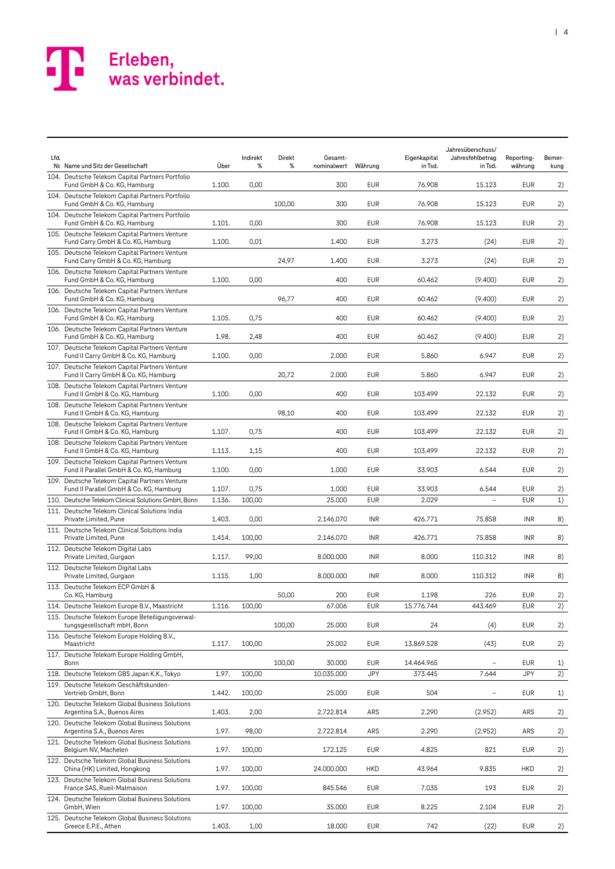| Lfd. | Nr. Name und Sitz der Gesellschaft                                                                                 | Über   | Indirekt<br>%  | Direkt<br>℅ | Gesamt-<br>nominalwert | Währung           | Eigenkapital<br>in Tsd. | Jahresüberschuss/<br>Jahresfehlbetrag<br>in Tsd. | Reporting-<br>währung    | Bemer-<br>kung |
|------|--------------------------------------------------------------------------------------------------------------------|--------|----------------|-------------|------------------------|-------------------|-------------------------|--------------------------------------------------|--------------------------|----------------|
|      | 104. Deutsche Telekom Capital Partners Portfolio<br>Fund GmbH & Co. KG, Hamburg                                    | 1.100. | 0,00           |             | 300                    | <b>EUR</b>        | 76.908                  | 15.123                                           | <b>EUR</b>               | 2)             |
|      | 104. Deutsche Telekom Capital Partners Portfolio<br>Fund GmbH & Co. KG, Hamburg                                    |        |                | 100,00      | 300                    | <b>EUR</b>        | 76.908                  | 15.123                                           | <b>EUR</b>               | 2)             |
|      | 104. Deutsche Telekom Capital Partners Portfolio<br>Fund GmbH & Co. KG, Hamburg                                    | 1.101. | 0,00           |             | 300                    | <b>EUR</b>        | 76.908                  | 15.123                                           | EUR                      | 2)             |
|      | 105. Deutsche Telekom Capital Partners Venture<br>Fund Carry GmbH & Co. KG, Hamburg                                | 1.100. | 0,01           |             | 1.400                  | <b>EUR</b>        | 3.273                   | (24)                                             | <b>EUR</b>               | 2)             |
|      | 105. Deutsche Telekom Capital Partners Venture<br>Fund Carry GmbH & Co. KG, Hamburg                                |        |                | 24,97       | 1.400                  | <b>EUR</b>        | 3.273                   | (24)                                             | EUR                      | 2)             |
|      | 106. Deutsche Telekom Capital Partners Venture<br>Fund GmbH & Co. KG, Hamburg                                      | 1.100. | 0,00           |             | 400                    | <b>EUR</b>        | 60.462                  | (9.400)                                          | <b>EUR</b>               | 2)             |
|      | 106. Deutsche Telekom Capital Partners Venture<br>Fund GmbH & Co. KG, Hamburg                                      |        |                | 96,77       | 400                    | <b>EUR</b>        | 60.462                  | (9.400)                                          | <b>EUR</b>               | 2)             |
|      | 106. Deutsche Telekom Capital Partners Venture<br>Fund GmbH & Co. KG, Hamburg                                      | 1.105. | 0,75           |             | 400                    | <b>EUR</b>        | 60.462                  | (9.400)                                          | <b>EUR</b>               | 2)             |
|      | 106. Deutsche Telekom Capital Partners Venture<br>Fund GmbH & Co. KG, Hamburg                                      | 1.98.  | 2,48           |             | 400                    | <b>EUR</b>        | 60.462                  | (9.400)                                          | <b>EUR</b>               | 2)             |
|      | 107. Deutsche Telekom Capital Partners Venture<br>Fund II Carry GmbH & Co. KG, Hamburg                             | 1.100. | 0,00           |             | 2.000                  | <b>EUR</b>        | 5.860                   | 6.947                                            | <b>EUR</b>               | 2)             |
|      | 107. Deutsche Telekom Capital Partners Venture<br>Fund II Carry GmbH & Co. KG, Hamburg                             |        |                | 20,72       | 2.000                  | <b>EUR</b>        | 5.860                   | 6.947                                            | <b>EUR</b>               | 2)             |
|      | 108. Deutsche Telekom Capital Partners Venture                                                                     |        |                |             |                        |                   |                         |                                                  |                          |                |
|      | Fund II GmbH & Co. KG, Hamburg<br>108. Deutsche Telekom Capital Partners Venture                                   | 1.100. | 0,00           |             | 400<br>400             | EUR<br><b>EUR</b> | 103.499                 | 22.132<br>22.132                                 | <b>EUR</b><br><b>EUR</b> | 2)             |
|      | Fund II GmbH & Co. KG, Hamburg<br>108. Deutsche Telekom Capital Partners Venture<br>Fund II GmbH & Co. KG, Hamburg | 1.107. | 0,75           | 98,10       | 400                    | <b>EUR</b>        | 103.499<br>103.499      | 22.132                                           | <b>EUR</b>               | 2)<br>2)       |
|      | 108. Deutsche Telekom Capital Partners Venture<br>Fund II GmbH & Co. KG, Hamburg                                   | 1.113. | 1,15           |             | 400                    | <b>EUR</b>        | 103.499                 | 22.132                                           | <b>EUR</b>               | 2)             |
|      | 109. Deutsche Telekom Capital Partners Venture<br>Fund II Parallel GmbH & Co. KG, Hamburg                          | 1.100. | 0,00           |             | 1.000                  | <b>EUR</b>        | 33.903                  | 6.544                                            | <b>EUR</b>               | 2)             |
|      | 109. Deutsche Telekom Capital Partners Venture                                                                     | 1.107. |                |             | 1.000                  | <b>EUR</b>        | 33.903                  | 6.544                                            | <b>EUR</b>               |                |
|      | Fund II Parallel GmbH & Co. KG, Hamburg<br>110. Deutsche Telekom Clinical Solutions GmbH, Bonn                     | 1.136. | 0,75<br>100,00 |             | 25.000                 | <b>EUR</b>        | 2.029                   |                                                  | <b>EUR</b>               | 2)<br>1)       |
|      | 111. Deutsche Telekom Clinical Solutions India<br>Private Limited, Pune                                            | 1.403. | 0,00           |             | 2.146.070              | <b>INR</b>        | 426.771                 | 75.858                                           | <b>INR</b>               | 8)             |
|      | 111. Deutsche Telekom Clinical Solutions India<br>Private Limited, Pune                                            | 1.414. | 100,00         |             | 2.146.070              | <b>INR</b>        | 426.771                 | 75.858                                           | <b>INR</b>               |                |
|      | 112. Deutsche Telekom Digital Labs<br>Private Limited, Gurgaon                                                     | 1.117. | 99,00          |             | 8.000.000              | <b>INR</b>        | 8.000                   | 110.312                                          | <b>INR</b>               | 8)<br>8)       |
|      | 112. Deutsche Telekom Digital Labs<br>Private Limited, Gurgaon                                                     | 1.115. | 1,00           |             | 8.000.000              | <b>INR</b>        | 8.000                   | 110.312                                          | <b>INR</b>               | 8)             |
|      | 113. Deutsche Telekom ECP GmbH &<br>Co. KG, Hamburg                                                                |        |                | 50,00       | 200                    | EUR               | 1.198                   | 226                                              | <b>EUR</b>               | 2)             |
|      | 114. Deutsche Telekom Europe B.V., Maastricht                                                                      | 1.116. | 100,00         |             | 67.006                 | EUR               | 15.776.744              | 443.469                                          | EUR                      | 2)             |
|      | 115. Deutsche Telekom Europe Beteiligungsverwal-<br>tungsgesellschaft mbH, Bonn                                    |        |                | 100,00      | 25.000                 | <b>EUR</b>        | 24                      | (4)                                              | <b>EUR</b>               | 2)             |
|      | 116. Deutsche Telekom Europe Holding B.V.,<br>Maastricht                                                           | 1.117. | 100,00         |             | 25.002                 | EUR               | 13.869.528              | (43)                                             | EUR                      | 2)             |
|      | 117. Deutsche Telekom Europe Holding GmbH,<br>Bonn                                                                 |        |                | 100,00      | 30.000                 | <b>EUR</b>        | 14.464.965              | $\qquad \qquad -$                                | EUR                      | 1)             |
|      | 118. Deutsche Telekom GBS Japan K.K., Tokyo                                                                        | 1.97.  | 100,00         |             | 10.035.000             | JPY               | 373.445                 | 7.644                                            | <b>JPY</b>               | 2)             |
|      | 119. Deutsche Telekom Geschäftskunden-<br>Vertrieb GmbH, Bonn                                                      | 1.442. | 100,00         |             | 25.000                 | EUR               | 504                     | $\overline{\phantom{a}}$                         | EUR                      | 1)             |
|      | 120. Deutsche Telekom Global Business Solutions<br>Argentina S.A., Buenos Aires                                    | 1.403. | 2,00           |             | 2.722.814              | ARS               | 2.290                   | (2.952)                                          | ARS                      | 2)             |
|      | 120. Deutsche Telekom Global Business Solutions<br>Argentina S.A., Buenos Aires                                    | 1.97.  | 98,00          |             | 2.722.814              | ARS               | 2.290                   | (2.952)                                          | ARS                      | 2)             |
|      | 121. Deutsche Telekom Global Business Solutions<br>Belgium NV, Machelen                                            | 1.97.  | 100,00         |             | 172.125                | <b>EUR</b>        | 4.825                   | 821                                              | EUR                      | 2)             |
|      | 122. Deutsche Telekom Global Business Solutions<br>China (HK) Limited, Hongkong                                    | 1.97.  | 100,00         |             | 24.000.000             | <b>HKD</b>        | 43.964                  | 9.835                                            | HKD                      | 2)             |
|      | 123. Deutsche Telekom Global Business Solutions<br>France SAS, Rueil-Malmaison                                     | 1.97.  | 100,00         |             | 845.546                | EUR               | 7.035                   | 193                                              | EUR                      | 2)             |
|      | 124. Deutsche Telekom Global Business Solutions<br>GmbH, Wien                                                      | 1.97.  | 100,00         |             | 35.000                 | EUR               | 8.225                   | 2.104                                            | <b>EUR</b>               | 2)             |
|      | 125. Deutsche Telekom Global Business Solutions<br>Greece E.P.E., Athen                                            | 1.403. | 1,00           |             | 18.000                 | <b>EUR</b>        | 742                     | (22)                                             | EUR                      | 2)             |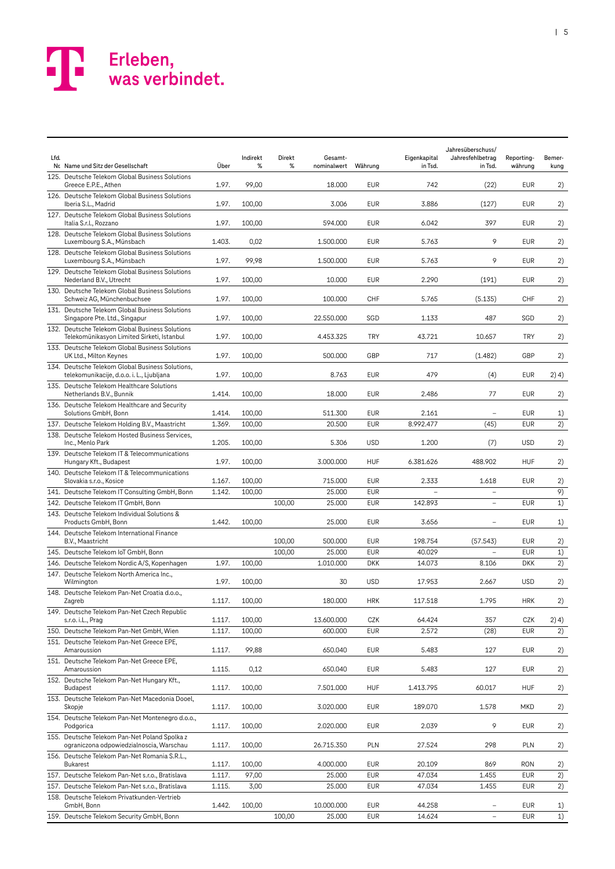| Lfd. | Nr. Name und Sitz der Gesellschaft                                                            | Über             | Indirekt<br>% | Direkt<br>% | Gesamt-<br>nominalwert | Währung           | Eigenkapital<br>in Tsd. | Jahresüberschuss/<br>Jahresfehlbetrag<br>in Tsd. | Reporting-<br>währung | Bemer-<br>kung |
|------|-----------------------------------------------------------------------------------------------|------------------|---------------|-------------|------------------------|-------------------|-------------------------|--------------------------------------------------|-----------------------|----------------|
|      | 125. Deutsche Telekom Global Business Solutions<br>Greece E.P.E., Athen                       | 1.97.            | 99,00         |             | 18.000                 | <b>EUR</b>        | 742                     | (22)                                             | EUR                   | 2)             |
|      | 126. Deutsche Telekom Global Business Solutions<br>Iberia S.L., Madrid                        | 1.97.            | 100,00        |             | 3.006                  | <b>EUR</b>        | 3.886                   | (127)                                            | <b>EUR</b>            | 2)             |
|      | 127. Deutsche Telekom Global Business Solutions<br>Italia S.r.l., Rozzano                     | 1.97.            | 100,00        |             | 594.000                | <b>EUR</b>        | 6.042                   | 397                                              | EUR                   | 2)             |
|      | 128. Deutsche Telekom Global Business Solutions<br>Luxembourg S.A., Münsbach                  | 1.403.           | 0,02          |             | 1.500.000              | <b>EUR</b>        | 5.763                   | 9                                                | <b>EUR</b>            | 2)             |
|      | 128. Deutsche Telekom Global Business Solutions                                               |                  |               |             |                        |                   |                         |                                                  |                       |                |
|      | Luxembourg S.A., Münsbach<br>129. Deutsche Telekom Global Business Solutions                  | 1.97.            | 99,98         |             | 1.500.000              | <b>EUR</b>        | 5.763                   | 9                                                | EUR                   | 2)             |
|      | Nederland B.V., Utrecht                                                                       | 1.97.            | 100,00        |             | 10.000                 | <b>EUR</b>        | 2.290                   | (191)                                            | <b>EUR</b>            | 2)             |
|      | 130. Deutsche Telekom Global Business Solutions<br>Schweiz AG, Münchenbuchsee                 | 1.97.            | 100,00        |             | 100.000                | CHF               | 5.765                   | (5.135)                                          | CHF                   | 2)             |
|      | 131. Deutsche Telekom Global Business Solutions<br>Singapore Pte. Ltd., Singapur              | 1.97.            | 100,00        |             | 22.550.000             | SGD               | 1.133                   | 487                                              | SGD                   | 2)             |
|      | 132. Deutsche Telekom Global Business Solutions<br>Telekomünikasyon Limited Sirketi, Istanbul | 1.97.            | 100,00        |             | 4.453.325              | TRY               | 43.721                  | 10.657                                           | TRY                   | 2)             |
|      | 133. Deutsche Telekom Global Business Solutions<br>UK Ltd., Milton Keynes                     | 1.97.            | 100,00        |             | 500,000                | GBP               | 717                     | (1.482)                                          | GBP                   | 2)             |
|      | 134. Deutsche Telekom Global Business Solutions,<br>telekomunikacije, d.o.o. i. L., Ljubljana | 1.97.            | 100,00        |             | 8.763                  | EUR               | 479                     | (4)                                              | <b>EUR</b>            | 2) 4)          |
|      | 135. Deutsche Telekom Healthcare Solutions<br>Netherlands B.V., Bunnik                        | 1.414.           | 100,00        |             | 18.000                 | EUR               | 2.486                   | 77                                               | <b>EUR</b>            | 2)             |
|      | 136. Deutsche Telekom Healthcare and Security<br>Solutions GmbH, Bonn                         | 1.414.           | 100,00        |             | 511.300                | <b>EUR</b>        | 2.161                   |                                                  | <b>EUR</b>            | 1)             |
|      | 137. Deutsche Telekom Holding B.V., Maastricht                                                | 1.369.           | 100,00        |             | 20.500                 | <b>EUR</b>        | 8.992.477               | (45)                                             | <b>EUR</b>            | 2)             |
|      | 138. Deutsche Telekom Hosted Business Services,<br>Inc., Menlo Park                           | 1.205.           | 100,00        |             | 5.306                  | <b>USD</b>        | 1.200                   | (7)                                              | <b>USD</b>            | 2)             |
|      | 139. Deutsche Telekom IT & Telecommunications<br>Hungary Kft., Budapest                       | 1.97.            | 100,00        |             | 3.000.000              | <b>HUF</b>        | 6.381.626               | 488.902                                          | <b>HUF</b>            | 2)             |
|      | 140. Deutsche Telekom IT & Telecommunications<br>Slovakia s.r.o., Kosice                      | 1.167.           | 100,00        |             | 715.000                | <b>EUR</b>        | 2.333                   | 1.618                                            | <b>EUR</b>            | 2)             |
|      | 141. Deutsche Telekom IT Consulting GmbH, Bonn                                                | 1.142.           | 100,00        |             | 25.000                 | <b>EUR</b>        |                         | $\overline{a}$                                   |                       | 9)             |
|      | 142. Deutsche Telekom IT GmbH, Bonn                                                           |                  |               | 100,00      | 25.000                 | <b>EUR</b>        | 142.893                 | $\overline{\phantom{a}}$                         | <b>EUR</b>            | 1)             |
|      | 143. Deutsche Telekom Individual Solutions &<br>Products GmbH, Bonn                           | 1.442.           | 100,00        |             | 25.000                 | <b>EUR</b>        | 3.656                   |                                                  | <b>EUR</b>            | 1)             |
|      | 144. Deutsche Telekom International Finance<br>B.V., Maastricht                               |                  |               | 100,00      | 500.000                | <b>EUR</b>        | 198.754                 | (57.543)                                         | <b>EUR</b>            | 2)             |
|      | 145. Deutsche Telekom IoT GmbH, Bonn                                                          |                  |               | 100,00      | 25.000                 | <b>EUR</b>        | 40.029                  | $\overline{\phantom{a}}$                         | <b>EUR</b>            | 1)             |
|      | 146. Deutsche Telekom Nordic A/S, Kopenhagen                                                  | 1.97.            | 100,00        |             | 1.010.000              | <b>DKK</b>        | 14.073                  | 8.106                                            | <b>DKK</b>            | 2)             |
|      | 147. Deutsche Telekom North America Inc.,<br>Wilmington                                       | 1.97.            | 100,00        |             | 30                     | <b>USD</b>        | 17.953                  | 2.667                                            | <b>USD</b>            | 2)             |
|      | 148. Deutsche Telekom Pan-Net Croatia d.o.o.,<br>Zagreb                                       | 1.117.           | 100,00        |             | 180.000                | <b>HRK</b>        | 117.518                 | 1.795                                            | HRK                   | 2)             |
|      | 149. Deutsche Telekom Pan-Net Czech Republic                                                  |                  | 100,00        |             | 13.600.000             |                   | 64.424                  |                                                  | CZK                   |                |
|      | s.r.o. i.L., Prag<br>150. Deutsche Telekom Pan-Net GmbH, Wien                                 | 1.117.<br>1.117. | 100,00        |             | 600.000                | CZK<br><b>EUR</b> | 2.572                   | 357<br>(28)                                      | <b>EUR</b>            | 2) 4)<br>2)    |
|      | 151. Deutsche Telekom Pan-Net Greece EPE,<br>Amaroussion                                      | 1.117.           | 99,88         |             | 650.040                | <b>EUR</b>        | 5.483                   | 127                                              | EUR                   | 2)             |
|      | 151. Deutsche Telekom Pan-Net Greece EPE,<br>Amaroussion                                      | 1.115.           | 0,12          |             | 650.040                | <b>EUR</b>        | 5.483                   | 127                                              | EUR                   | 2)             |
|      | 152. Deutsche Telekom Pan-Net Hungary Kft.,<br><b>Budapest</b>                                | 1.117.           | 100,00        |             | 7.501.000              | <b>HUF</b>        | 1.413.795               | 60.017                                           | <b>HUF</b>            | 2)             |
|      | 153. Deutsche Telekom Pan-Net Macedonia Dooel,                                                |                  |               |             |                        |                   |                         |                                                  |                       |                |
|      | Skopje<br>154. Deutsche Telekom Pan-Net Montenegro d.o.o.,                                    | 1.117.           | 100,00        |             | 3.020.000              | EUR               | 189.070                 | 1.578                                            | <b>MKD</b>            | 2)             |
|      | Podgorica<br>155. Deutsche Telekom Pan-Net Poland Spolka z                                    | 1.117.           | 100,00        |             | 2.020.000              | EUR               | 2.039                   | 9                                                | EUR                   | 2)             |
|      | ograniczona odpowiedzialnoscia, Warschau                                                      | 1.117.           | 100,00        |             | 26.715.350             | <b>PLN</b>        | 27.524                  | 298                                              | PLN                   | 2)             |
|      | 156. Deutsche Telekom Pan-Net Romania S.R.L.,<br><b>Bukarest</b>                              | 1.117.           | 100,00        |             | 4.000.000              | EUR               | 20.109                  | 869                                              | <b>RON</b>            | 2)             |
|      | 157. Deutsche Telekom Pan-Net s.r.o., Bratislava                                              | 1.117.           | 97,00         |             | 25.000                 | EUR               | 47.034                  | 1.455                                            | <b>EUR</b>            | 2)             |
|      | 157. Deutsche Telekom Pan-Net s.r.o., Bratislava                                              | 1.115.           | 3,00          |             | 25.000                 | <b>EUR</b>        | 47.034                  | 1.455                                            | <b>EUR</b>            | 2)             |
|      | 158. Deutsche Telekom Privatkunden-Vertrieb<br>GmbH, Bonn                                     | 1.442.           | 100,00        |             | 10.000.000             | <b>EUR</b>        | 44.258                  | $\qquad \qquad -$                                | <b>EUR</b>            | 1)             |
|      | 159. Deutsche Telekom Security GmbH, Bonn                                                     |                  |               | 100,00      | 25.000                 | <b>EUR</b>        | 14.624                  | $\overline{\phantom{a}}$                         | <b>EUR</b>            | 1)             |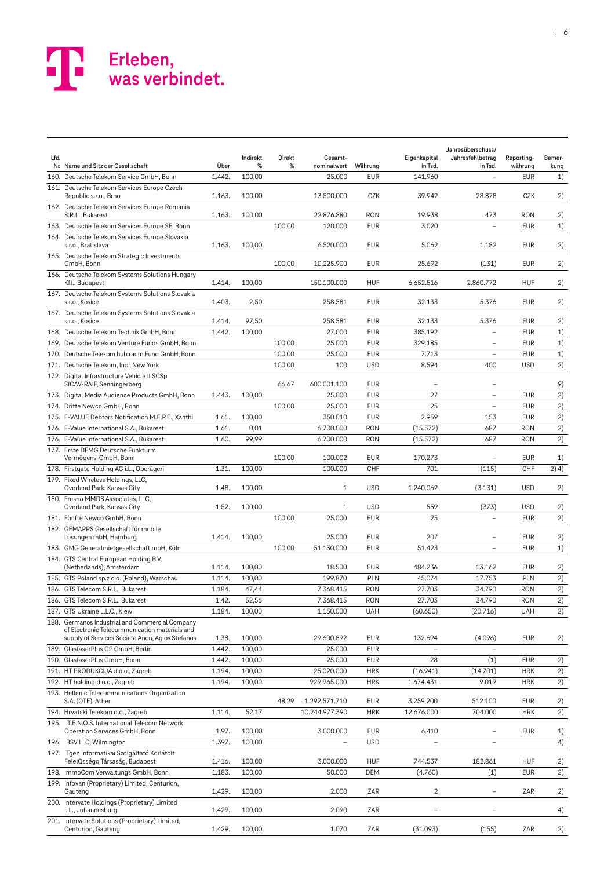| Lfd. | Nr. Name und Sitz der Gesellschaft                                                                                                | Über   | Indirekt<br>% | Direkt<br>% | Gesamt-<br>nominalwert | Währung    | Eigenkapital<br>in Tsd. | Jahresüberschuss/<br>Jahresfehlbetrag<br>in Tsd. | Reporting-<br>währung | Bemer-<br>kung |
|------|-----------------------------------------------------------------------------------------------------------------------------------|--------|---------------|-------------|------------------------|------------|-------------------------|--------------------------------------------------|-----------------------|----------------|
|      | 160. Deutsche Telekom Service GmbH, Bonn                                                                                          | 1.442. | 100,00        |             | 25.000                 | <b>EUR</b> | 141.960                 | $\overline{\phantom{0}}$                         | <b>EUR</b>            | 1)             |
|      | 161. Deutsche Telekom Services Europe Czech<br>Republic s.r.o., Brno                                                              | 1.163. | 100,00        |             | 13.500.000             | CZK        | 39.942                  | 28.878                                           | CZK                   | 2)             |
|      | 162. Deutsche Telekom Services Europe Romania<br>S.R.L., Bukarest                                                                 | 1.163. | 100,00        |             | 22.876.880             | <b>RON</b> | 19.938                  | 473                                              | <b>RON</b>            | 2)             |
|      | 163. Deutsche Telekom Services Europe SE, Bonn                                                                                    |        |               | 100,00      | 120.000                | <b>EUR</b> | 3.020                   |                                                  | <b>EUR</b>            | 1)             |
|      | 164. Deutsche Telekom Services Europe Slovakia<br>s.r.o., Bratislava                                                              | 1.163. | 100,00        |             | 6.520.000              | <b>EUR</b> | 5.062                   | 1.182                                            | <b>EUR</b>            | 2)             |
|      | 165. Deutsche Telekom Strategic Investments<br>GmbH, Bonn                                                                         |        |               | 100,00      | 10.225.900             | <b>EUR</b> | 25.692                  | (131)                                            | <b>EUR</b>            | 2)             |
|      | 166. Deutsche Telekom Systems Solutions Hungary<br>Kft., Budapest                                                                 | 1.414. | 100,00        |             | 150.100.000            | <b>HUF</b> | 6.652.516               | 2.860.772                                        | <b>HUF</b>            | 2)             |
|      | 167. Deutsche Telekom Systems Solutions Slovakia<br>s.r.o., Kosice                                                                | 1.403. | 2,50          |             | 258.581                | <b>EUR</b> | 32.133                  | 5.376                                            | <b>EUR</b>            | 2)             |
|      | 167. Deutsche Telekom Systems Solutions Slovakia<br>s.r.o., Kosice                                                                | 1.414. | 97,50         |             | 258.581                | <b>EUR</b> | 32.133                  | 5.376                                            | <b>EUR</b>            | 2)             |
|      | 168. Deutsche Telekom Technik GmbH, Bonn                                                                                          | 1.442. | 100,00        |             | 27.000                 | <b>EUR</b> | 385.192                 | $\overline{\phantom{0}}$                         | <b>EUR</b>            | 1)             |
|      | 169. Deutsche Telekom Venture Funds GmbH. Bonn                                                                                    |        |               | 100,00      | 25.000                 | <b>EUR</b> | 329.185                 | $\overline{a}$                                   | <b>EUR</b>            | 1)             |
|      | 170. Deutsche Telekom hub:raum Fund GmbH, Bonn                                                                                    |        |               | 100,00      | 25.000                 | <b>EUR</b> | 7.713                   | $\overline{\phantom{a}}$                         | <b>EUR</b>            | 1)             |
|      | 171. Deutsche Telekom, Inc., New York                                                                                             |        |               | 100,00      | 100                    | <b>USD</b> | 8.594                   | 400                                              | <b>USD</b>            | 2)             |
|      | 172. Digital Infrastructure Vehicle II SCSp<br>SICAV-RAIF, Senningerberg                                                          |        |               | 66,67       | 600.001.100            | <b>EUR</b> |                         | $\overline{\phantom{m}}$                         |                       | 9)             |
|      | 173. Digital Media Audience Products GmbH, Bonn                                                                                   | 1.443. | 100,00        |             | 25.000                 | <b>EUR</b> | 27                      | $\overline{\phantom{0}}$                         | <b>EUR</b>            | 2)             |
|      | 174. Dritte Newco GmbH, Bonn                                                                                                      |        |               | 100,00      | 25.000                 | <b>EUR</b> | 25                      | $\qquad \qquad -$                                | <b>EUR</b>            | 2)             |
|      | 175. E-VALUE Debtors Notification M.E.P.E., Xanthi                                                                                | 1.61.  | 100,00        |             | 350.010                | <b>EUR</b> | 2.959                   | 153                                              | <b>EUR</b>            | 2)             |
|      | 176. E-Value International S.A., Bukarest                                                                                         | 1.61.  | 0,01          |             | 6.700.000              | <b>RON</b> | (15.572)                | 687                                              | <b>RON</b>            | 2)             |
|      | 176. E-Value International S.A., Bukarest                                                                                         | 1.60.  | 99,99         |             | 6.700.000              | <b>RON</b> | (15.572)                | 687                                              | <b>RON</b>            | 2)             |
|      | 177. Erste DFMG Deutsche Funkturm<br>Vermögens-GmbH, Bonn                                                                         |        |               | 100,00      | 100.002                | <b>EUR</b> | 170.273                 | $\qquad \qquad -$                                | <b>EUR</b>            | 1)             |
|      | 178. Firstgate Holding AG i.L., Oberägeri                                                                                         | 1.31.  | 100,00        |             | 100.000                | CHF        | 701                     | (115)                                            | CHF                   | 2) 4)          |
|      | 179. Fixed Wireless Holdings, LLC,<br>Overland Park, Kansas City                                                                  | 1.48.  | 100,00        |             | $\mathbf{1}$           | <b>USD</b> | 1.240.062               | (3.131)                                          | <b>USD</b>            | 2)             |
|      | 180. Fresno MMDS Associates, LLC,<br>Overland Park, Kansas City                                                                   | 1.52.  | 100,00        |             | 1                      | <b>USD</b> | 559                     | (373)                                            | <b>USD</b>            | 2)             |
|      | 181. Fünfte Newco GmbH, Bonn                                                                                                      |        |               | 100,00      | 25.000                 | <b>EUR</b> | 25                      | $\overline{\phantom{a}}$                         | <b>EUR</b>            | 2)             |
|      | 182. GEMAPPS Gesellschaft für mobile<br>Lösungen mbH, Hamburg                                                                     | 1.414. | 100,00        |             | 25.000                 | <b>EUR</b> | 207                     |                                                  | <b>EUR</b>            | 2)             |
|      | 183. GMG Generalmietgesellschaft mbH, Köln                                                                                        |        |               | 100,00      | 51.130.000             | <b>EUR</b> | 51.423                  | $\overline{a}$                                   | <b>EUR</b>            | 1)             |
|      | 184. GTS Central European Holding B.V.<br>(Netherlands), Amsterdam                                                                | 1.114. | 100,00        |             | 18.500                 | <b>EUR</b> | 484.236                 | 13.162                                           | EUR                   | 2)             |
|      | 185. GTS Poland sp.z o.o. (Poland), Warschau                                                                                      | 1.114. | 100,00        |             | 199.870                | PLN        | 45.074                  | 17.753                                           | PLN                   | 2)             |
|      | 186. GTS Telecom S.R.L., Bukarest                                                                                                 | 1.184. | 47,44         |             | 7.368.415              | <b>RON</b> | 27.703                  | 34.790                                           | <b>RON</b>            | 2)             |
|      | 186. GTS Telecom S.R.L., Bukarest                                                                                                 | 1.42.  | 52,56         |             | 7.368.415              | <b>RON</b> | 27.703                  | 34.790                                           | <b>RON</b>            | 2)             |
|      | 187. GTS Ukraine L.L.C., Kiew<br>188. Germanos Industrial and Commercial Company<br>of Electronic Telecommunication materials and | 1.184. | 100,00        |             | 1.150.000              | UAH        | (60.650)                | (20.716)                                         | UAH                   | 2)             |
|      | supply of Services Societe Anon, Agios Stefanos                                                                                   | 1.38.  | 100,00        |             | 29.600.892             | EUR        | 132.694                 | (4.096)                                          | EUR                   | 2)             |
|      | 189. GlasfaserPlus GP GmbH, Berlin                                                                                                | 1.442. | 100,00        |             | 25.000                 | <b>EUR</b> |                         |                                                  |                       |                |
|      | 190. GlasfaserPlus GmbH, Bonn                                                                                                     | 1.442. | 100,00        |             | 25.000                 | <b>EUR</b> | 28                      | (1)                                              | <b>EUR</b>            | 2)             |
|      | 191. HT PRODUKCIJA d.o.o., Zagreb                                                                                                 | 1.194. | 100,00        |             | 25.020.000             | <b>HRK</b> | (16.941)                | (14.701)                                         | <b>HRK</b>            | 2)             |
|      | 192. HT holding d.o.o., Zagreb<br>193. Hellenic Telecommunications Organization                                                   | 1.194. | 100,00        |             | 929.965.000            | <b>HRK</b> | 1.674.431               | 9.019                                            | <b>HRK</b>            | 2)             |
|      | S.A. (OTE), Athen                                                                                                                 |        |               | 48,29       | 1.292.571.710          | EUR        | 3.259.200               | 512.100                                          | <b>EUR</b>            | 2)             |
|      | 194. Hrvatski Telekom d.d., Zagreb                                                                                                | 1.114. | 52,17         |             | 10.244.977.390         | <b>HRK</b> | 12.676.000              | 704.000                                          | <b>HRK</b>            | 2)             |
|      | 195. I.T.E.N.O.S. International Telecom Network<br>Operation Services GmbH, Bonn                                                  | 1.97.  | 100,00        |             | 3.000.000              | <b>EUR</b> | 6.410                   | $\overline{\phantom{a}}$                         | <b>EUR</b>            | 1)             |
|      | 196. IBSV LLC, Wilmington                                                                                                         | 1.397. | 100,00        |             | $\overline{a}$         | <b>USD</b> |                         | $\qquad \qquad -$                                |                       | 4)             |
|      | 197. ITgen Informatikai Szolgáltató Korlátolt<br>FelelQsségq Társaság, Budapest                                                   | 1.416. | 100,00        |             | 3.000.000              | <b>HUF</b> | 744.537                 | 182.861                                          | <b>HUF</b>            | 2)             |
|      | 198. ImmoCom Verwaltungs GmbH, Bonn                                                                                               | 1.183. | 100,00        |             | 50.000                 | <b>DEM</b> | (4.760)                 | (1)                                              | <b>EUR</b>            | 2)             |
|      | 199. Infovan (Proprietary) Limited, Centurion,<br>Gauteng                                                                         | 1.429. | 100,00        |             | 2.000                  | ZAR        | 2                       |                                                  | ZAR                   | 2)             |
|      | 200. Intervate Holdings (Proprietary) Limited<br>i. L., Johannesburg                                                              | 1.429. | 100,00        |             | 2.090                  | ZAR        |                         |                                                  |                       | 4)             |
|      | 201. Intervate Solutions (Proprietary) Limited,<br>Centurion, Gauteng                                                             | 1.429. | 100,00        |             | 1.070                  | ZAR        | (31.093)                | (155)                                            | ZAR                   | 2)             |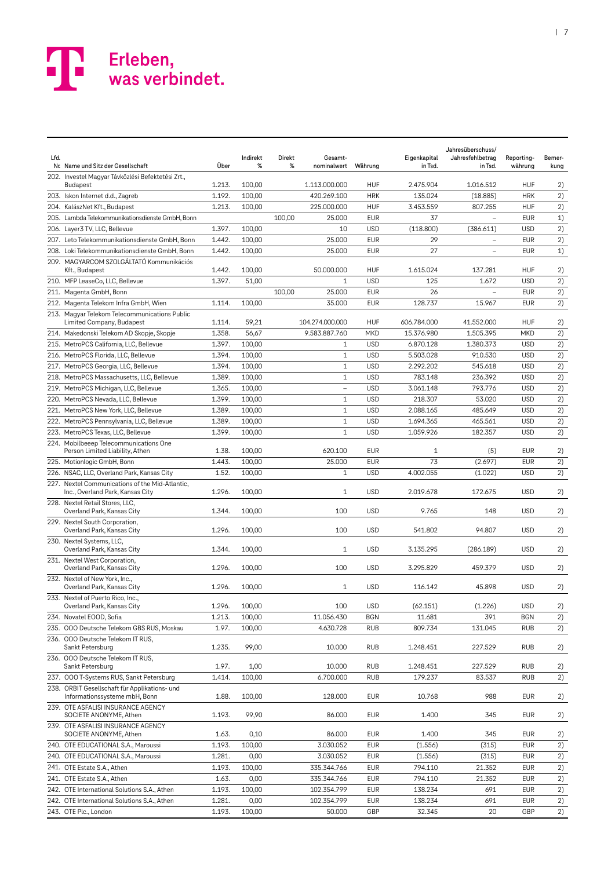| Lfd. | Nr. Name und Sitz der Gesellschaft                                                  | Über   | Indirekt<br>% | Direkt<br>% | Gesamt-<br>nominalwert Währung |            | Eigenkapital<br>in Tsd. | Jahresüberschuss/<br>Jahresfehlbetrag<br>in Tsd. | Reporting-<br>währung | Bemer-<br>kung |
|------|-------------------------------------------------------------------------------------|--------|---------------|-------------|--------------------------------|------------|-------------------------|--------------------------------------------------|-----------------------|----------------|
|      | 202. Investel Magyar Távközlési Befektetési Zrt.,<br>Budapest                       | 1.213. | 100,00        |             | 1.113.000.000                  | <b>HUF</b> | 2.475.904               | 1.016.512                                        | <b>HUF</b>            | 2)             |
|      | 203. Iskon Internet d.d., Zagreb                                                    | 1.192. | 100,00        |             | 420.269.100                    | <b>HRK</b> | 135.024                 | (18.885)                                         | <b>HRK</b>            | 2)             |
|      | 204. KalászNet Kft., Budapest                                                       | 1.213. | 100,00        |             | 225.000.000                    | <b>HUF</b> | 3.453.559               | 807.255                                          | <b>HUF</b>            | 2)             |
|      | 205. Lambda Telekommunikationsdienste GmbH. Bonn                                    |        |               | 100,00      | 25.000                         | <b>EUR</b> | 37                      | $\overline{\phantom{0}}$                         | <b>EUR</b>            | 1)             |
|      | 206. Layer3 TV, LLC, Bellevue                                                       | 1.397. | 100,00        |             | 10                             | <b>USD</b> | (118.800)               | (386.611)                                        | <b>USD</b>            | 2)             |
|      | 207. Leto Telekommunikationsdienste GmbH, Bonn                                      | 1.442. | 100,00        |             | 25.000                         | <b>EUR</b> | 29                      | $\overline{a}$                                   | <b>EUR</b>            | 2)             |
|      | 208. Loki Telekommunikationsdienste GmbH, Bonn                                      | 1.442. | 100,00        |             | 25,000                         | <b>EUR</b> | 27                      |                                                  | <b>EUR</b>            | 1)             |
|      | 209. MAGYARCOM SZOLGÁLTATÓ Kommunikációs<br>Kft., Budapest                          | 1.442. | 100,00        |             | 50.000.000                     | <b>HUF</b> | 1.615.024               | 137.281                                          | <b>HUF</b>            | 2)             |
|      | 210. MFP LeaseCo, LLC, Bellevue                                                     | 1.397. | 51,00         |             | $\mathbf{1}$                   | <b>USD</b> | 125                     | 1.672                                            | <b>USD</b>            | 2)             |
|      | 211. Magenta GmbH, Bonn                                                             |        |               | 100,00      | 25.000                         | <b>EUR</b> | 26                      |                                                  | <b>EUR</b>            | 2)             |
|      | 212. Magenta Telekom Infra GmbH, Wien                                               | 1.114. | 100,00        |             | 35.000                         | <b>EUR</b> | 128.737                 | 15.967                                           | <b>EUR</b>            | 2)             |
|      | 213. Magyar Telekom Telecommunications Public<br>Limited Company, Budapest          | 1.114. | 59,21         |             | 104.274.000.000                | <b>HUF</b> | 606.784.000             | 41.552.000                                       | <b>HUF</b>            | 2)             |
|      | 214. Makedonski Telekom AD Skopje, Skopje                                           | 1.358. | 56,67         |             | 9.583.887.760                  | MKD        | 15.376.980              | 1.505.395                                        | MKD                   | 2)             |
|      | 215. MetroPCS California, LLC, Bellevue                                             | 1.397. | 100,00        |             | $\mathbf{1}$                   | <b>USD</b> | 6.870.128               | 1.380.373                                        | <b>USD</b>            | 2)             |
|      | 216. MetroPCS Florida, LLC, Bellevue                                                | 1.394. | 100,00        |             | $\mathbf{1}$                   | <b>USD</b> | 5.503.028               | 910.530                                          | <b>USD</b>            | 2)             |
|      | 217. MetroPCS Georgia, LLC, Bellevue                                                | 1.394. | 100,00        |             | $\mathbf{1}$                   | <b>USD</b> | 2.292.202               | 545.618                                          | <b>USD</b>            | 2)             |
|      | 218. MetroPCS Massachusetts, LLC, Bellevue                                          | 1.389. | 100,00        |             | $\mathbf{1}$                   | <b>USD</b> | 783.148                 | 236.392                                          | <b>USD</b>            | 2)             |
|      | 219. MetroPCS Michigan, LLC, Bellevue                                               | 1.365. | 100,00        |             | $\overline{\phantom{0}}$       | <b>USD</b> | 3.061.148               | 793.776                                          | <b>USD</b>            | 2)             |
|      | 220. MetroPCS Nevada, LLC, Bellevue                                                 | 1.399. | 100.00        |             | $\mathbf{1}$                   | <b>USD</b> | 218.307                 | 53.020                                           | <b>USD</b>            | 2)             |
|      | 221. MetroPCS New York, LLC, Bellevue                                               | 1.389. | 100,00        |             | $\mathbf{1}$                   | <b>USD</b> | 2.088.165               | 485.649                                          | <b>USD</b>            | 2)             |
|      | 222. MetroPCS Pennsylvania, LLC, Bellevue                                           | 1.389. | 100,00        |             | $\mathbf{1}$                   | <b>USD</b> | 1.694.365               | 465.561                                          | <b>USD</b>            | 2)             |
|      | 223. MetroPCS Texas, LLC, Bellevue                                                  | 1.399. | 100,00        |             | $\mathbf{1}$                   | <b>USD</b> | 1.059.926               | 182.357                                          | <b>USD</b>            | 2)             |
|      | 224. Mobilbeeep Telecommunications One<br>Person Limited Liability, Athen           | 1.38.  | 100,00        |             | 620.100                        | <b>EUR</b> | $\mathbf{1}$            | (5)                                              | <b>EUR</b>            | 2)             |
|      | 225. Motionlogic GmbH, Bonn                                                         | 1.443. | 100,00        |             | 25.000                         | <b>EUR</b> | 73                      | (2.697)                                          | <b>EUR</b>            | 2)             |
|      | 226. NSAC, LLC, Overland Park, Kansas City                                          | 1.52.  | 100,00        |             | $\mathbf{1}$                   | <b>USD</b> | 4.002.055               | (1.022)                                          | <b>USD</b>            | 2)             |
|      | 227. Nextel Communications of the Mid-Atlantic,<br>Inc., Overland Park, Kansas City | 1.296. | 100,00        |             | 1                              | <b>USD</b> | 2.019.678               | 172.675                                          | <b>USD</b>            | 2)             |
|      | 228. Nextel Retail Stores, LLC,<br>Overland Park, Kansas City                       | 1.344. | 100,00        |             | 100                            | <b>USD</b> | 9.765                   | 148                                              | <b>USD</b>            | 2)             |
|      | 229. Nextel South Corporation,<br>Overland Park, Kansas City                        | 1.296. | 100,00        |             | 100                            | <b>USD</b> | 541.802                 | 94.807                                           | <b>USD</b>            | 2)             |
|      | 230. Nextel Systems, LLC,<br>Overland Park, Kansas City                             | 1.344. | 100,00        |             | $\mathbf{1}$                   | <b>USD</b> | 3.135.295               | (286.189)                                        | <b>USD</b>            | 2)             |
|      | 231. Nextel West Corporation,<br>Overland Park, Kansas City                         | 1.296. | 100,00        |             | 100                            | <b>USD</b> | 3.295.829               | 459.379                                          | <b>USD</b>            | 2)             |
|      | 232. Nextel of New York, Inc.,<br>Overland Park, Kansas City                        | 1.296. | 100,00        |             | 1                              | <b>USD</b> | 116.142                 | 45.898                                           | <b>USD</b>            | 2)             |
|      | 233. Nextel of Puerto Rico, Inc.,<br>Overland Park, Kansas City                     | 1.296. | 100,00        |             | 100                            | <b>USD</b> | (62.151)                | (1.226)                                          | <b>USD</b>            | 2)             |
|      | 234. Novatel EOOD, Sofia                                                            | 1.213. | 100,00        |             | 11.056.430                     | <b>BGN</b> | 11.681                  | 391                                              | <b>BGN</b>            | 2)             |
|      | 235. OOO Deutsche Telekom GBS RUS, Moskau                                           | 1.97.  | 100,00        |             | 4.630.728                      | <b>RUB</b> | 809.734                 | 131.045                                          | <b>RUB</b>            | 2)             |
|      | 236. OOO Deutsche Telekom IT RUS,<br>Sankt Petersburg                               | 1.235. | 99,00         |             | 10.000                         | <b>RUB</b> | 1.248.451               | 227.529                                          | RUB                   | 2)             |
|      | 236. OOO Deutsche Telekom IT RUS,<br>Sankt Petersburg                               | 1.97.  | 1,00          |             | 10.000                         | <b>RUB</b> | 1.248.451               | 227.529                                          | RUB                   | 2)             |
|      | 237. OOO T-Systems RUS, Sankt Petersburg                                            | 1.414. | 100,00        |             | 6.700.000                      | <b>RUB</b> | 179.237                 | 83.537                                           | <b>RUB</b>            | 2)             |
|      | 238. ORBIT Gesellschaft für Applikations- und<br>Informationssysteme mbH, Bonn      | 1.88.  | 100,00        |             | 128.000                        | <b>EUR</b> | 10.768                  | 988                                              | <b>EUR</b>            | 2)             |
|      | 239. OTE ASFALISI INSURANCE AGENCY<br>SOCIETE ANONYME, Athen                        | 1.193. | 99,90         |             | 86.000                         | <b>EUR</b> | 1.400                   | 345                                              | <b>EUR</b>            | 2)             |
|      | 239. OTE ASFALISI INSURANCE AGENCY<br>SOCIETE ANONYME, Athen                        | 1.63.  | 0,10          |             | 86.000                         | <b>EUR</b> | 1.400                   | 345                                              | <b>EUR</b>            | 2)             |
|      | 240. OTE EDUCATIONAL S.A., Maroussi                                                 | 1.193. | 100,00        |             | 3.030.052                      | <b>EUR</b> | (1.556)                 | (315)                                            | <b>EUR</b>            | 2)             |
|      | 240. OTE EDUCATIONAL S.A., Maroussi                                                 | 1.281. | 0,00          |             | 3.030.052                      | <b>EUR</b> | (1.556)                 | (315)                                            | <b>EUR</b>            | 2)             |
|      | 241. OTE Estate S.A., Athen                                                         | 1.193. | 100,00        |             | 335.344.766                    | <b>EUR</b> | 794.110                 | 21.352                                           | <b>EUR</b>            | 2)             |
|      | 241. OTE Estate S.A., Athen                                                         | 1.63.  | 0,00          |             | 335.344.766                    | <b>EUR</b> | 794.110                 | 21.352                                           | <b>EUR</b>            | 2)             |
|      | 242. OTE International Solutions S.A., Athen                                        | 1.193. | 100,00        |             | 102.354.799                    | <b>EUR</b> | 138.234                 | 691                                              | <b>EUR</b>            | 2)             |
|      | 242. OTE International Solutions S.A., Athen                                        | 1.281. | 0,00          |             | 102.354.799                    | <b>EUR</b> | 138.234                 | 691                                              | <b>EUR</b>            | 2)             |
|      | 243. OTE Plc., London                                                               | 1.193. | 100,00        |             | 50.000                         | GBP        | 32.345                  | 20                                               | GBP                   | 2)             |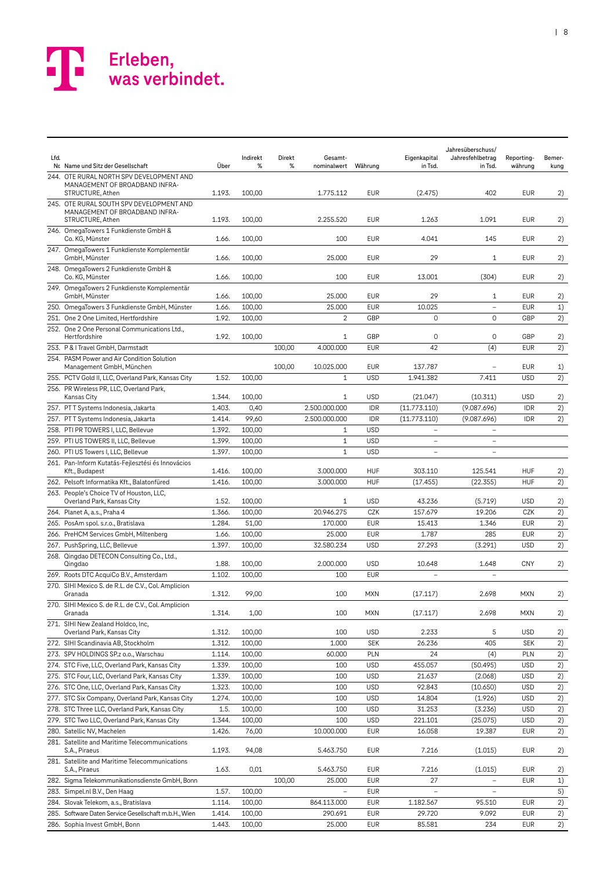

| Lfd. | Nr. Name und Sitz der Gesellschaft                                                             | Über   | Indirekt<br>% | Direkt<br>% | Gesamt-<br>nominalwert   | Währung    | Eigenkapital<br>in Tsd.  | Jahresüberschuss/<br>Jahresfehlbetrag<br>in Tsd. | Reporting-<br>währung | Bemer-<br>kung |
|------|------------------------------------------------------------------------------------------------|--------|---------------|-------------|--------------------------|------------|--------------------------|--------------------------------------------------|-----------------------|----------------|
|      | 244. OTE RURAL NORTH SPV DEVELOPMENT AND<br>MANAGEMENT OF BROADBAND INFRA-<br>STRUCTURE, Athen | 1.193. | 100,00        |             | 1.775.112                | <b>EUR</b> | (2.475)                  | 402                                              | <b>EUR</b>            | 2)             |
|      | 245. OTE RURAL SOUTH SPV DEVELOPMENT AND<br>MANAGEMENT OF BROADBAND INFRA-<br>STRUCTURE, Athen | 1.193. | 100,00        |             | 2.255.520                | <b>EUR</b> | 1.263                    | 1.091                                            | <b>EUR</b>            | 2)             |
|      | 246. OmegaTowers 1 Funkdienste GmbH &<br>Co. KG, Münster                                       | 1.66.  | 100,00        |             | 100                      | <b>EUR</b> | 4.041                    | 145                                              | <b>EUR</b>            | 2)             |
|      | 247. OmegaTowers 1 Funkdienste Komplementär<br>GmbH. Münster                                   | 1.66.  | 100,00        |             | 25.000                   | <b>EUR</b> | 29                       | 1                                                | <b>EUR</b>            | 2)             |
|      | 248. OmegaTowers 2 Funkdienste GmbH &<br>Co. KG, Münster                                       | 1.66.  | 100,00        |             | 100                      | <b>EUR</b> | 13.001                   | (304)                                            | <b>EUR</b>            | 2)             |
|      | 249. OmegaTowers 2 Funkdienste Komplementär<br>GmbH, Münster                                   | 1.66.  | 100,00        |             | 25,000                   | <b>EUR</b> | 29                       | $\mathbf{1}$                                     | <b>EUR</b>            | 2)             |
|      | 250. OmegaTowers 3 Funkdienste GmbH, Münster                                                   | 1.66.  | 100,00        |             | 25.000                   | <b>EUR</b> | 10.025                   |                                                  | <b>EUR</b>            | 1)             |
|      | 251. One 2 One Limited, Hertfordshire                                                          | 1.92.  | 100,00        |             | $\overline{c}$           | GBP        | 0                        | 0                                                | GBP                   | 2)             |
|      | 252. One 2 One Personal Communications Ltd.,<br>Hertfordshire                                  | 1.92.  | 100,00        |             | 1                        | GBP        | 0                        | 0                                                | GBP                   | 2)             |
|      | 253. P & I Travel GmbH, Darmstadt                                                              |        |               | 100,00      | 4.000.000                | <b>EUR</b> | 42                       | (4)                                              | <b>EUR</b>            | 2)             |
|      | 254. PASM Power and Air Condition Solution<br>Management GmbH, München                         |        |               | 100,00      | 10.025.000               | <b>EUR</b> | 137.787                  |                                                  | <b>EUR</b>            | 1)             |
|      | 255. PCTV Gold II, LLC, Overland Park, Kansas City                                             | 1.52.  | 100,00        |             | $\mathbf{1}$             | <b>USD</b> | 1.941.382                | 7.411                                            | <b>USD</b>            | 2)             |
|      | 256. PR Wireless PR, LLC, Overland Park,<br>Kansas City                                        | 1.344. | 100,00        |             | 1                        | <b>USD</b> | (21.047)                 | (10.311)                                         | <b>USD</b>            | 2)             |
|      | 257. PTT Systems Indonesia, Jakarta                                                            | 1.403. | 0,40          |             | 2.500.000.000            | <b>IDR</b> | (11.773.110)             | (9.087.696)                                      | <b>IDR</b>            | 2)             |
|      | 257. PTT Systems Indonesia, Jakarta                                                            | 1.414. | 99,60         |             | 2.500.000.000            | <b>IDR</b> | (11.773.110)             | (9.087.696)                                      | <b>IDR</b>            | 2)             |
|      | 258. PTI PR TOWERS I, LLC, Bellevue                                                            | 1.392. | 100,00        |             | $\mathbf{1}$             | <b>USD</b> | $\overline{\phantom{0}}$ | $\overline{a}$                                   |                       |                |
|      | 259. PTI US TOWERS II, LLC, Bellevue                                                           | 1.399. | 100,00        |             | $\mathbf{1}$             | <b>USD</b> | $\overline{a}$           | $\overline{a}$                                   |                       |                |
|      | 260. PTI US Towers I, LLC, Bellevue                                                            | 1.397. | 100,00        |             | $\mathbf{1}$             | <b>USD</b> | $\overline{\phantom{0}}$ | $\overline{\phantom{0}}$                         |                       |                |
|      | 261. Pan-Inform Kutatás-Fejlesztési és Innovácios<br>Kft., Budapest                            | 1.416. | 100,00        |             | 3.000.000                | <b>HUF</b> | 303.110                  | 125.541                                          | <b>HUF</b>            | 2)             |
|      | 262. Pelsoft Informatika Kft., Balatonfüred                                                    | 1.416. | 100,00        |             | 3.000.000                | <b>HUF</b> | (17.455)                 | (22.355)                                         | <b>HUF</b>            | 2)             |
|      | 263. People's Choice TV of Houston, LLC,<br>Overland Park, Kansas City                         | 1.52.  | 100,00        |             | 1                        | <b>USD</b> | 43.236                   | (5.719)                                          | <b>USD</b>            | 2)             |
|      | 264. Planet A, a.s., Praha 4                                                                   | 1.366. | 100,00        |             | 20.946.275               | CZK        | 157.679                  | 19.206                                           | CZK                   | 2)             |
|      | 265. PosAm spol. s.r.o., Bratislava                                                            | 1.284. | 51,00         |             | 170.000                  | <b>EUR</b> | 15.413                   | 1.346                                            | <b>EUR</b>            | 2)             |
|      | 266. PreHCM Services GmbH, Miltenberg                                                          | 1.66.  | 100,00        |             | 25.000                   | <b>EUR</b> | 1.787                    | 285                                              | <b>EUR</b>            | 2)             |
|      | 267. PushSpring, LLC, Bellevue                                                                 | 1.397. | 100,00        |             | 32.580.234               | <b>USD</b> | 27.293                   | (3.291)                                          | <b>USD</b>            | 2)             |
|      | 268. Qingdao DETECON Consulting Co., Ltd.,<br>Qinadao                                          | 1.88.  | 100,00        |             | 2.000.000                | <b>USD</b> | 10.648                   | 1.648                                            | <b>CNY</b>            | 2)             |
|      | 269. Roots DTC AcquiCo B.V., Amsterdam                                                         | 1.102. | 100,00        |             | 100                      | <b>EUR</b> | $\overline{\phantom{a}}$ | $\overline{\phantom{m}}$                         |                       |                |
|      | 270. SIHI Mexico S. de R.L. de C.V., Col. Amplicion<br>Granada                                 | 1.312. | 99,00         |             | 100                      | <b>MXN</b> | (17.117)                 | 2.698                                            | <b>MXN</b>            | 2)             |
|      | 270. SIHI Mexico S. de R.L. de C.V., Col. Amplicion<br>Granada                                 | 1.314. | 1,00          |             | 100                      | <b>MXN</b> | (17.117)                 | 2.698                                            | <b>MXN</b>            | 2)             |
|      | 271. SIHI New Zealand Holdco, Inc,<br>Overland Park, Kansas City                               | 1.312. | 100,00        |             | 100                      | <b>USD</b> | 2.233                    | 5                                                | <b>USD</b>            | 2)             |
|      | 272. SIHI Scandinavia AB, Stockholm                                                            | 1.312. | 100,00        |             | 1.000                    | <b>SEK</b> | 26.236                   | 405                                              | <b>SEK</b>            | 2)             |
|      | 273. SPV HOLDINGS SP.z o.o., Warschau                                                          | 1.114. | 100,00        |             | 60.000                   | PLN        | 24                       | (4)                                              | PLN                   | 2)             |
|      | 274. STC Five, LLC, Overland Park, Kansas City                                                 | 1.339. | 100,00        |             | 100                      | <b>USD</b> | 455.057                  | (50.495)                                         | <b>USD</b>            | 2)             |
|      | 275. STC Four, LLC, Overland Park, Kansas City                                                 | 1.339. | 100,00        |             | 100                      | <b>USD</b> | 21.637                   | (2.068)                                          | <b>USD</b>            | 2)             |
|      | 276. STC One, LLC, Overland Park, Kansas City                                                  | 1.323. | 100,00        |             | 100                      | <b>USD</b> | 92.843                   | (10.650)                                         | <b>USD</b>            | 2)             |
|      | 277. STC Six Company, Overland Park, Kansas City                                               | 1.274. | 100,00        |             | 100                      | <b>USD</b> | 14.804                   | (1.926)                                          | <b>USD</b>            | 2)             |
|      | 278. STC Three LLC, Overland Park, Kansas City                                                 | 1.5.   | 100,00        |             | 100                      | <b>USD</b> | 31.253                   | (3.236)                                          | <b>USD</b>            | 2)             |
|      | 279. STC Two LLC, Overland Park, Kansas City                                                   | 1.344. | 100,00        |             | 100                      | <b>USD</b> | 221.101                  | (25.075)                                         | <b>USD</b>            | 2)             |
|      | 280. Satellic NV, Machelen                                                                     | 1.426. | 76,00         |             | 10.000.000               | <b>EUR</b> | 16.058                   | 19.387                                           | <b>EUR</b>            | 2)             |
|      | 281. Satellite and Maritime Telecommunications<br>S.A., Piraeus                                | 1.193. | 94,08         |             | 5.463.750                | <b>EUR</b> | 7.216                    | (1.015)                                          | <b>EUR</b>            | 2)             |
|      | 281. Satellite and Maritime Telecommunications<br>S.A., Piraeus                                | 1.63.  | 0,01          |             | 5.463.750                | <b>EUR</b> | 7.216                    | (1.015)                                          | <b>EUR</b>            | 2)             |
|      | 282. Sigma Telekommunikationsdienste GmbH, Bonn                                                |        |               | 100,00      | 25.000                   | <b>EUR</b> | 27                       | $\overline{\phantom{a}}$                         | <b>EUR</b>            | 1)             |
|      | 283. Simpel.nl B.V., Den Haag                                                                  | 1.57.  | 100,00        |             | $\overline{\phantom{0}}$ | <b>EUR</b> | $\overline{\phantom{a}}$ | $\qquad \qquad -$                                |                       | 5)             |
|      | 284. Slovak Telekom, a.s., Bratislava                                                          | 1.114. | 100,00        |             | 864.113.000              | <b>EUR</b> | 1.182.567                | 95.510                                           | <b>EUR</b>            | 2)             |
|      | 285. Software Daten Service Gesellschaft m.b.H., Wien                                          | 1.414. | 100,00        |             | 290.691                  | <b>EUR</b> | 29.720                   | 9.092                                            | <b>EUR</b>            | 2)             |
|      | 286. Sophia Invest GmbH, Bonn                                                                  | 1.443. | 100,00        |             | 25.000                   | <b>EUR</b> | 85.581                   | 234                                              | <b>EUR</b>            | 2)             |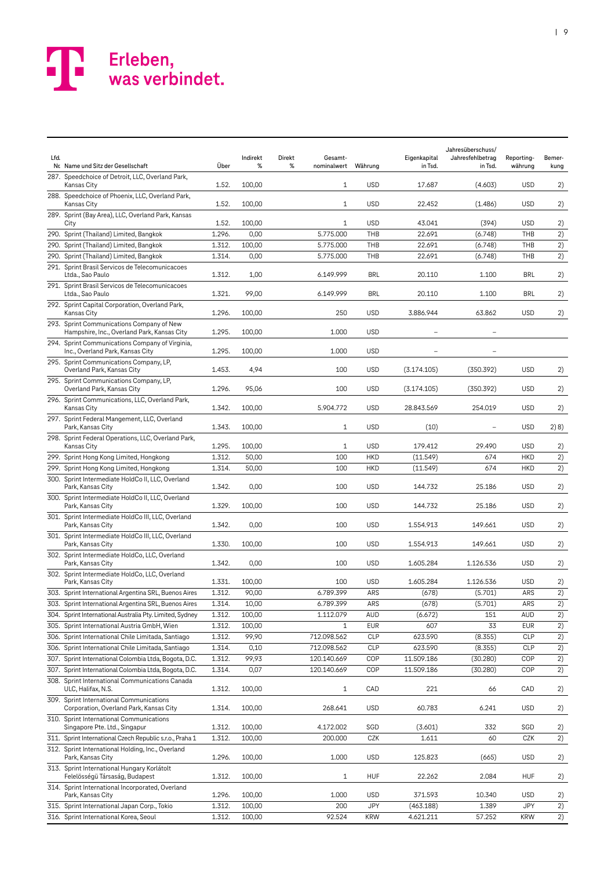| Lfd. | Nr. Name und Sitz der Gesellschaft                                                       | Über   | Indirekt<br>% | Direkt<br>Gesamt-<br>%<br>nominalwert | Währung    | Eigenkapital<br>in Tsd. | Jahresüberschuss/<br>Jahresfehlbetrag<br>in Tsd. | Reporting-<br>währung | Bemer-<br>kung |
|------|------------------------------------------------------------------------------------------|--------|---------------|---------------------------------------|------------|-------------------------|--------------------------------------------------|-----------------------|----------------|
|      | 287. Speedchoice of Detroit, LLC, Overland Park,<br>Kansas City                          | 1.52.  | 100,00        | $\mathbf{1}$                          | <b>USD</b> | 17.687                  | (4.603)                                          | <b>USD</b>            | 2)             |
|      | 288. Speedchoice of Phoenix, LLC, Overland Park,<br><b>Kansas City</b>                   | 1.52.  | 100,00        | $\mathbf{1}$                          | <b>USD</b> | 22.452                  | (1.486)                                          | <b>USD</b>            | 2)             |
|      | 289. Sprint (Bay Area), LLC, Overland Park, Kansas<br>City                               | 1.52.  | 100,00        | 1                                     | <b>USD</b> | 43.041                  | (394)                                            | <b>USD</b>            | 2)             |
|      | 290. Sprint (Thailand) Limited, Bangkok                                                  | 1.296. | 0,00          | 5.775.000                             | THB        | 22.691                  | (6.748)                                          | THB                   | 2)             |
|      | 290. Sprint (Thailand) Limited, Bangkok                                                  | 1.312. | 100,00        | 5.775.000                             | THB        | 22.691                  | (6.748)                                          | THB                   | 2)             |
|      | 290. Sprint (Thailand) Limited, Bangkok                                                  | 1.314. | 0,00          | 5.775.000                             | THB        | 22.691                  | (6.748)                                          | THB                   | 2)             |
|      | 291. Sprint Brasil Servicos de Telecomunicacoes<br>Ltda., Sao Paulo                      | 1.312. | 1,00          | 6.149.999                             | BRL        | 20.110                  | 1.100                                            | <b>BRL</b>            | 2)             |
|      | 291. Sprint Brasil Servicos de Telecomunicacoes<br>Ltda., Sao Paulo                      | 1.321. | 99,00         | 6.149.999                             | BRL        | 20.110                  | 1.100                                            | <b>BRL</b>            | 2)             |
|      | 292. Sprint Capital Corporation, Overland Park,<br>Kansas City                           | 1.296. | 100,00        | 250                                   | <b>USD</b> | 3.886.944               | 63.862                                           | <b>USD</b>            | 2)             |
|      | 293. Sprint Communications Company of New<br>Hampshire, Inc., Overland Park, Kansas City | 1.295. | 100,00        | 1.000                                 | <b>USD</b> |                         |                                                  |                       |                |
|      | 294. Sprint Communications Company of Virginia,<br>Inc., Overland Park, Kansas City      | 1.295. | 100,00        | 1.000                                 | <b>USD</b> |                         |                                                  |                       |                |
|      | 295. Sprint Communications Company, LP,<br>Overland Park, Kansas City                    | 1.453. | 4,94          | 100                                   | <b>USD</b> | (3.174.105)             | (350.392)                                        | <b>USD</b>            | 2)             |
|      | 295. Sprint Communications Company, LP,<br>Overland Park, Kansas City                    | 1.296. | 95,06         | 100                                   | <b>USD</b> | (3.174.105)             | (350.392)                                        | <b>USD</b>            | 2)             |
|      | 296. Sprint Communications, LLC, Overland Park,<br>Kansas City                           | 1.342. | 100,00        | 5.904.772                             | <b>USD</b> | 28.843.569              | 254.019                                          | <b>USD</b>            | 2)             |
|      | 297. Sprint Federal Mangement, LLC, Overland<br>Park, Kansas City                        | 1.343. | 100,00        | $\mathbf{1}$                          | <b>USD</b> | (10)                    | $\overline{\phantom{a}}$                         | <b>USD</b>            | 2) 8)          |
|      | 298. Sprint Federal Operations, LLC, Overland Park,<br>Kansas City                       | 1.295. | 100,00        | 1                                     | <b>USD</b> | 179.412                 | 29.490                                           | <b>USD</b>            | 2)             |
|      | 299. Sprint Hong Kong Limited, Hongkong                                                  | 1.312. | 50,00         | 100                                   | <b>HKD</b> | (11.549)                | 674                                              | <b>HKD</b>            | 2)             |
|      | 299. Sprint Hong Kong Limited, Hongkong                                                  | 1.314. | 50,00         | 100                                   | <b>HKD</b> | (11.549)                | 674                                              | <b>HKD</b>            | 2)             |
|      | 300. Sprint Intermediate HoldCo II, LLC, Overland<br>Park, Kansas City                   | 1.342. | 0,00          | 100                                   | <b>USD</b> | 144.732                 | 25.186                                           | <b>USD</b>            | 2)             |
|      | 300. Sprint Intermediate HoldCo II, LLC, Overland<br>Park, Kansas City                   | 1.329. | 100,00        | 100                                   | <b>USD</b> | 144.732                 | 25.186                                           | <b>USD</b>            | 2)             |
|      | 301. Sprint Intermediate HoldCo III, LLC, Overland<br>Park, Kansas City                  | 1.342. | 0,00          | 100                                   | <b>USD</b> | 1.554.913               | 149.661                                          | <b>USD</b>            | 2)             |
|      | 301. Sprint Intermediate HoldCo III, LLC, Overland<br>Park, Kansas City                  | 1.330. | 100,00        | 100                                   | <b>USD</b> | 1.554.913               | 149.661                                          | <b>USD</b>            | 2)             |
|      | 302. Sprint Intermediate HoldCo, LLC, Overland<br>Park, Kansas City                      | 1.342. | 0,00          | 100                                   | <b>USD</b> | 1.605.284               | 1.126.536                                        | <b>USD</b>            | 2)             |
|      | 302. Sprint Intermediate HoldCo, LLC, Overland<br>Park, Kansas City                      | 1.331. | 100,00        | 100                                   | <b>USD</b> | 1.605.284               | 1.126.536                                        | <b>USD</b>            | 2)             |
|      | 303. Sprint International Argentina SRL, Buenos Aires                                    | 1.312. | 90,00         | 6.789.399                             | ARS        | (678)                   | (5.701)                                          | ARS                   | 2)             |
|      | 303. Sprint International Argentina SRL, Buenos Aires                                    | 1.314. | 10,00         | 6.789.399                             | ARS        | (678)                   | (5.701)                                          | ARS                   | 2)             |
|      | 304. Sprint International Australia Pty. Limited, Sydney                                 | 1.312. | 100,00        | 1.112.079                             | <b>AUD</b> | (6.672)                 | 151                                              | AUD                   | 2)             |
|      | 305. Sprint International Austria GmbH, Wien                                             | 1.312. | 100,00        | 1                                     | <b>EUR</b> | 607                     | 33                                               | <b>EUR</b>            | 2)             |
|      | 306. Sprint International Chile Limitada, Santiago                                       | 1.312. | 99,90         | 712.098.562                           | <b>CLP</b> | 623.590                 | (8.355)                                          | <b>CLP</b>            | 2)             |
|      | 306. Sprint International Chile Limitada, Santiago                                       | 1.314. | 0,10          | 712.098.562                           | <b>CLP</b> | 623.590                 | (8.355)                                          | <b>CLP</b>            | 2)             |
|      | 307. Sprint International Colombia Ltda, Bogota, D.C.                                    | 1.312. | 99,93         | 120.140.669                           | COP        | 11.509.186              | (30.280)                                         | COP                   | 2)             |
|      | 307. Sprint International Colombia Ltda, Bogota, D.C.                                    | 1.314. | 0,07          | 120.140.669                           | COP        | 11.509.186              | (30.280)                                         | COP                   | 2)             |
|      | 308. Sprint International Communications Canada<br>ULC, Halifax, N.S.                    | 1.312. | 100,00        | 1                                     | CAD        | 221                     | 66                                               | CAD                   | 2)             |
|      | 309. Sprint International Communications<br>Corporation, Overland Park, Kansas City      | 1.314. | 100,00        | 268.641                               | <b>USD</b> | 60.783                  | 6.241                                            | <b>USD</b>            | 2)             |
|      | 310. Sprint International Communications<br>Singapore Pte. Ltd., Singapur                | 1.312. | 100,00        | 4.172.002                             | SGD        | (3.601)                 | 332                                              | SGD                   | 2)             |
|      | 311. Sprint International Czech Republic s.r.o., Praha 1                                 | 1.312. | 100,00        | 200.000                               | CZK        | 1.611                   | 60                                               | CZK                   | 2)             |
|      | 312. Sprint International Holding, Inc., Overland<br>Park, Kansas City                   | 1.296. | 100,00        | 1.000                                 | <b>USD</b> | 125.823                 | (665)                                            | <b>USD</b>            | 2)             |
|      | 313. Sprint International Hungary Korlátolt<br>Felelösségü Társaság, Budapest            | 1.312. | 100,00        | 1                                     | HUF        | 22.262                  | 2.084                                            | <b>HUF</b>            | 2)             |
|      | 314. Sprint International Incorporated, Overland<br>Park, Kansas City                    | 1.296. | 100,00        | 1.000                                 | <b>USD</b> | 371.593                 | 10.340                                           | <b>USD</b>            | 2)             |
|      | 315. Sprint International Japan Corp., Tokio                                             | 1.312. | 100,00        | 200                                   | JPY        | (463.188)               | 1.389                                            | JPY                   | 2)             |
|      | 316. Sprint International Korea, Seoul                                                   | 1.312. | 100,00        | 92.524                                | <b>KRW</b> | 4.621.211               | 57.252                                           | <b>KRW</b>            | 2)             |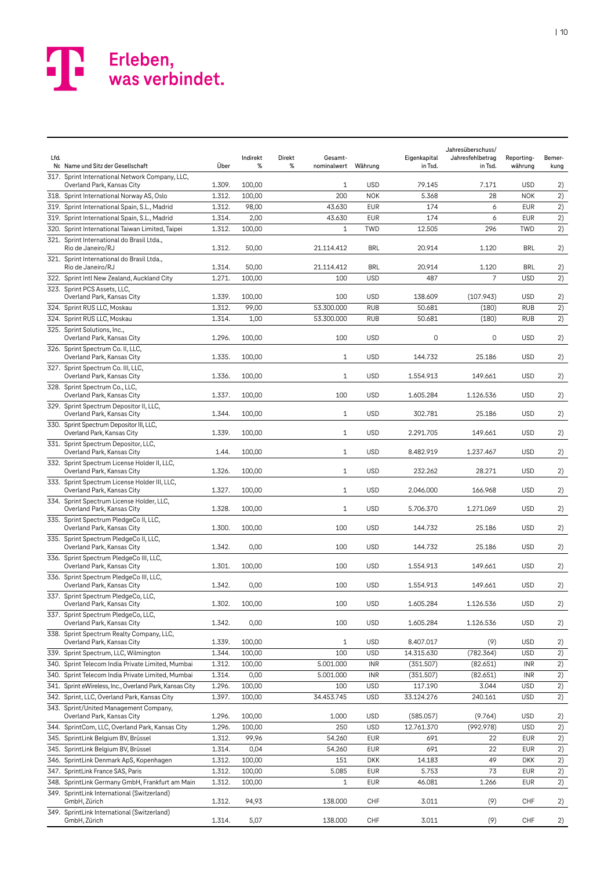

| Lfd. | Nr. Name und Sitz der Gesellschaft                                            | Über   | Indirekt<br>% | Direkt<br>Gesamt-<br>%<br>nominalwert | Währung    | Eigenkapital<br>in Tsd. | Jahresüberschuss/<br>Jahresfehlbetrag<br>in Tsd. | Reporting-<br>währung | Bemer-<br>kung |
|------|-------------------------------------------------------------------------------|--------|---------------|---------------------------------------|------------|-------------------------|--------------------------------------------------|-----------------------|----------------|
|      | 317. Sprint International Network Company, LLC,<br>Overland Park, Kansas City | 1.309. | 100,00        | 1                                     | <b>USD</b> | 79.145                  | 7.171                                            | <b>USD</b>            | 2)             |
|      | 318. Sprint International Norway AS, Oslo                                     | 1.312. | 100,00        | 200                                   | <b>NOK</b> | 5.368                   | 28                                               | <b>NOK</b>            | 2)             |
|      | 319. Sprint International Spain, S.L., Madrid                                 | 1.312. | 98,00         | 43.630                                | <b>EUR</b> | 174                     | 6                                                | <b>EUR</b>            | 2)             |
|      | 319. Sprint International Spain, S.L., Madrid                                 | 1.314. | 2,00          | 43.630                                | <b>EUR</b> | 174                     | 6                                                | <b>EUR</b>            | 2)             |
|      | 320. Sprint International Taiwan Limited, Taipei                              | 1.312. | 100,00        | $\mathbf 1$                           | <b>TWD</b> | 12.505                  | 296                                              | <b>TWD</b>            | 2)             |
|      | 321. Sprint International do Brasil Ltda.,<br>Rio de Janeiro/RJ               | 1.312. | 50,00         | 21.114.412                            | BRL        | 20.914                  | 1.120                                            | <b>BRL</b>            | 2)             |
|      | 321. Sprint International do Brasil Ltda.,<br>Rio de Janeiro/RJ               | 1.314. | 50,00         | 21.114.412                            | <b>BRL</b> | 20.914                  | 1.120                                            | <b>BRL</b>            | 2)             |
|      | 322. Sprint Intl New Zealand, Auckland City                                   | 1.271. | 100,00        | 100                                   | <b>USD</b> | 487                     | 7                                                | <b>USD</b>            | 2)             |
|      | 323. Sprint PCS Assets, LLC,<br>Overland Park, Kansas City                    | 1.339. | 100,00        | 100                                   | <b>USD</b> | 138.609                 | (107.943)                                        | <b>USD</b>            | 2)             |
|      | 324. Sprint RUS LLC, Moskau                                                   | 1.312. | 99,00         | 53.300.000                            | <b>RUB</b> | 50.681                  | (180)                                            | <b>RUB</b>            | 2)             |
|      | 324. Sprint RUS LLC, Moskau                                                   | 1.314. | 1,00          | 53.300.000                            | <b>RUB</b> | 50.681                  | (180)                                            | <b>RUB</b>            | 2)             |
|      | 325. Sprint Solutions, Inc.,<br>Overland Park, Kansas City                    | 1.296. | 100,00        | 100                                   | <b>USD</b> | 0                       | 0                                                | <b>USD</b>            | 2)             |
|      | 326. Sprint Spectrum Co. II, LLC,<br>Overland Park, Kansas City               | 1.335. | 100,00        | $\mathbf{1}$                          | <b>USD</b> | 144.732                 | 25.186                                           | <b>USD</b>            | 2)             |
|      | 327. Sprint Spectrum Co. III, LLC,<br>Overland Park, Kansas City              | 1.336. | 100,00        | $\mathbf{1}$                          | <b>USD</b> | 1.554.913               | 149.661                                          | <b>USD</b>            | 2)             |
|      | 328. Sprint Spectrum Co., LLC,<br>Overland Park, Kansas City                  | 1.337. | 100,00        | 100                                   | <b>USD</b> | 1.605.284               | 1.126.536                                        | <b>USD</b>            | 2)             |
|      | 329. Sprint Spectrum Depositor II, LLC,<br>Overland Park, Kansas City         | 1.344. | 100,00        | $\mathbf{1}$                          | <b>USD</b> | 302.781                 | 25.186                                           | <b>USD</b>            | 2)             |
|      | 330. Sprint Spectrum Depositor III, LLC,<br>Overland Park, Kansas City        | 1.339. | 100,00        | $\mathbf{1}$                          | <b>USD</b> | 2.291.705               | 149.661                                          | <b>USD</b>            | 2)             |
|      | 331. Sprint Spectrum Depositor, LLC,<br>Overland Park, Kansas City            | 1.44.  | 100,00        | $\mathbf{1}$                          | <b>USD</b> | 8.482.919               | 1.237.467                                        | <b>USD</b>            | 2)             |
|      | 332. Sprint Spectrum License Holder II, LLC,<br>Overland Park, Kansas City    | 1.326. | 100,00        | 1                                     | <b>USD</b> | 232.262                 | 28.271                                           | <b>USD</b>            | 2)             |
|      | 333. Sprint Spectrum License Holder III, LLC,<br>Overland Park, Kansas City   | 1.327. | 100,00        | $\mathbf{1}$                          | <b>USD</b> | 2.046.000               | 166.968                                          | <b>USD</b>            | 2)             |
|      | 334. Sprint Spectrum License Holder, LLC,<br>Overland Park, Kansas City       | 1.328. | 100,00        | 1                                     | <b>USD</b> | 5.706.370               | 1.271.069                                        | <b>USD</b>            | 2)             |
|      | 335. Sprint Spectrum PledgeCo II, LLC,<br>Overland Park, Kansas City          | 1.300. | 100,00        | 100                                   | <b>USD</b> | 144.732                 | 25.186                                           | <b>USD</b>            | 2)             |
|      | 335. Sprint Spectrum PledgeCo II, LLC,<br>Overland Park, Kansas City          | 1.342. | 0,00          | 100                                   | <b>USD</b> | 144.732                 | 25.186                                           | <b>USD</b>            | 2)             |
|      | 336. Sprint Spectrum PledgeCo III, LLC,<br>Overland Park, Kansas City         | 1.301. | 100,00        | 100                                   | <b>USD</b> | 1.554.913               | 149.661                                          | <b>USD</b>            | 2)             |
|      | 336. Sprint Spectrum PledgeCo III, LLC,<br>Overland Park, Kansas City         | 1.342. | 0,00          | 100                                   | <b>USD</b> | 1.554.913               | 149.661                                          | <b>USD</b>            | 2)             |
|      | 337. Sprint Spectrum PledgeCo, LLC,                                           |        |               |                                       |            |                         |                                                  |                       |                |
|      | Overland Park, Kansas City<br>337. Sprint Spectrum PledgeCo, LLC,             | 1.302. | 100,00        | 100                                   | <b>USD</b> | 1.605.284               | 1.126.536                                        | <b>USD</b>            | 2)             |
|      | Overland Park, Kansas City<br>338. Sprint Spectrum Realty Company, LLC,       | 1.342. | 0,00          | 100                                   | <b>USD</b> | 1.605.284               | 1.126.536                                        | <b>USD</b>            | 2)             |
|      | Overland Park, Kansas City                                                    | 1.339. | 100,00        | $1\,$                                 | <b>USD</b> | 8.407.017               | (9)                                              | <b>USD</b>            | 2)             |
|      | 339. Sprint Spectrum, LLC, Wilmington                                         | 1.344. | 100,00        | 100                                   | <b>USD</b> | 14.315.630              | (782.364)                                        | <b>USD</b>            | 2)             |
|      | 340. Sprint Telecom India Private Limited, Mumbai                             | 1.312. | 100,00        | 5.001.000                             | <b>INR</b> | (351.507)               | (82.651)                                         | <b>INR</b>            | 2)             |
|      | 340. Sprint Telecom India Private Limited, Mumbai                             | 1.314. | 0,00          | 5.001.000                             | INR        | (351.507)               | (82.651)                                         | <b>INR</b>            | 2)             |
|      | 341. Sprint eWireless, Inc., Overland Park, Kansas City                       | 1.296. | 100,00        | 100                                   | <b>USD</b> | 117.190                 | 3.044                                            | <b>USD</b>            | 2)             |
|      | 342. Sprint, LLC, Overland Park, Kansas City                                  | 1.397. | 100,00        | 34.453.745                            | <b>USD</b> | 33.124.276              | 240.161                                          | <b>USD</b>            | 2)             |
|      | 343. Sprint/United Management Company,<br>Overland Park, Kansas City          | 1.296. | 100,00        | 1.000                                 | <b>USD</b> | (585.057)               | (9.764)                                          | <b>USD</b>            | 2)             |
|      | 344. SprintCom, LLC, Overland Park, Kansas City                               | 1.296. | 100,00        | 250                                   | <b>USD</b> | 12.761.370              | (992.978)                                        | <b>USD</b>            | 2)             |
|      | 345. SprintLink Belgium BV, Brüssel                                           | 1.312. | 99,96         | 54.260                                | <b>EUR</b> | 691                     | 22                                               | <b>EUR</b>            | 2)             |
|      | 345. SprintLink Belgium BV, Brüssel                                           | 1.314. | 0,04          | 54.260                                | <b>EUR</b> | 691                     | 22                                               | <b>EUR</b>            | 2)             |
|      | 346. SprintLink Denmark ApS, Kopenhagen                                       | 1.312. | 100,00        | 151                                   | <b>DKK</b> | 14.183                  | 49                                               | <b>DKK</b>            | 2)             |
|      | 347. SprintLink France SAS, Paris                                             | 1.312. | 100,00        | 5.085                                 | <b>EUR</b> | 5.753                   | 73                                               | <b>EUR</b>            | 2)             |
|      | 348. SprintLink Germany GmbH, Frankfurt am Main                               | 1.312. | 100,00        | $\mathbf{1}$                          | <b>EUR</b> | 46.081                  | 1.266                                            | <b>EUR</b>            | 2)             |
|      | 349. SprintLink International (Switzerland)<br>GmbH, Zürich                   | 1.312. | 94,93         | 138.000                               | <b>CHF</b> | 3.011                   | (9)                                              | <b>CHF</b>            | 2)             |
|      | 349. SprintLink International (Switzerland)<br>GmbH, Zürich                   | 1.314. | 5,07          | 138.000                               | CHF        | 3.011                   | (9)                                              | CHF                   | 2)             |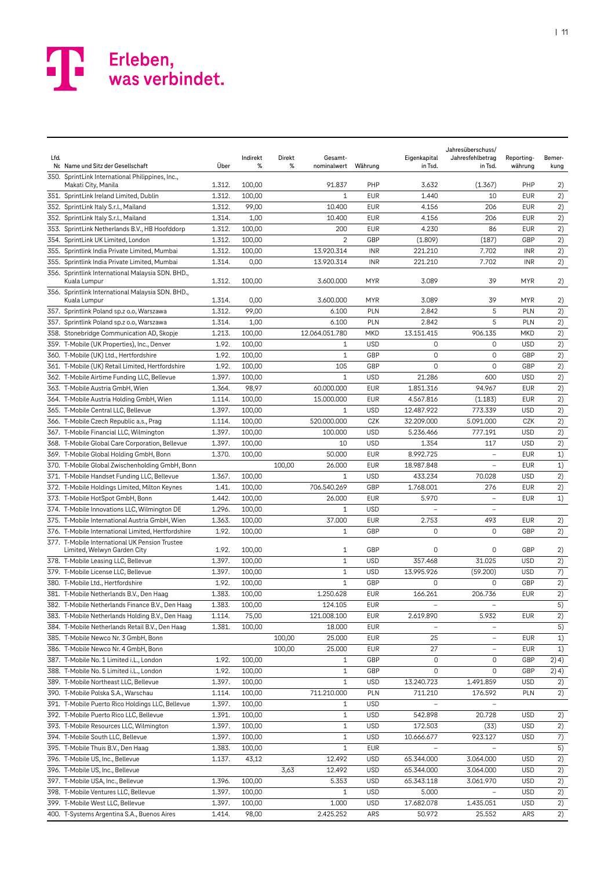| Lfd. | Nr. Name und Sitz der Gesellschaft                                            | Über   | Indirekt<br>% | Direkt<br>Gesamt-<br>%<br>nominalwert | Währung    | Eigenkapital<br>in Tsd. | Jahresüberschuss/<br>Jahresfehlbetrag<br>in Tsd. | Reporting-<br>währung | Bemer-<br>kung  |
|------|-------------------------------------------------------------------------------|--------|---------------|---------------------------------------|------------|-------------------------|--------------------------------------------------|-----------------------|-----------------|
|      | 350. SprintLink International Philippines, Inc.,<br>Makati City, Manila       | 1.312. | 100,00        | 91.837                                | PHP        | 3.632                   | (1.367)                                          | PHP                   | 2)              |
|      | 351. SprintLink Ireland Limited, Dublin                                       | 1.312. | 100,00        | 1                                     | <b>EUR</b> | 1.440                   | 10                                               | <b>EUR</b>            | 2)              |
|      | 352. SprintLink Italy S.r.l., Mailand                                         | 1.312. | 99,00         | 10.400                                | <b>EUR</b> | 4.156                   | 206                                              | <b>EUR</b>            | 2)              |
|      | 352. SprintLink Italy S.r.l., Mailand                                         | 1.314. | 1,00          | 10.400                                | <b>EUR</b> | 4.156                   | 206                                              | <b>EUR</b>            | 2)              |
|      | 353. SprintLink Netherlands B.V., HB Hoofddorp                                | 1.312. | 100,00        | 200                                   | <b>EUR</b> | 4.230                   | 86                                               | <b>EUR</b>            | 2)              |
|      | 354. SprintLink UK Limited, London                                            | 1.312. | 100,00        | 2                                     | GBP        | (1.809)                 | (187)                                            | GBP                   | 2)              |
|      | 355. Sprintlink India Private Limited, Mumbai                                 | 1.312. | 100,00        | 13.920.314                            | <b>INR</b> | 221.210                 | 7.702                                            | <b>INR</b>            | 2)              |
|      | 355. Sprintlink India Private Limited, Mumbai                                 | 1.314. | 0,00          | 13.920.314                            | <b>INR</b> | 221.210                 | 7.702                                            | <b>INR</b>            | 2)              |
|      | 356. Sprintlink International Malaysia SDN. BHD.,<br>Kuala Lumpur             | 1.312. | 100,00        | 3.600.000                             | <b>MYR</b> | 3.089                   | 39                                               | MYR                   | 2)              |
|      | 356. Sprintlink International Malaysia SDN. BHD.,<br>Kuala Lumpur             | 1.314. | 0,00          | 3.600.000                             | MYR        | 3.089                   | 39                                               | MYR                   | 2)              |
|      | 357. Sprintlink Poland sp.z o.o, Warszawa                                     | 1.312. | 99,00         | 6.100                                 | PLN        | 2.842                   | 5                                                | PLN                   | 2)              |
|      | 357. Sprintlink Poland sp.z o.o, Warszawa                                     | 1.314. | 1,00          | 6.100                                 | PLN        | 2.842                   | 5                                                | PLN                   | 2)              |
|      | 358. Stonebridge Communication AD, Skopje                                     | 1.213. | 100,00        | 12.064.051.780                        | MKD        | 13.151.415              | 906.135                                          | <b>MKD</b>            | 2)              |
|      | 359. T-Mobile (UK Properties), Inc., Denver                                   | 1.92.  | 100,00        | $\mathbf{1}$                          | <b>USD</b> | 0                       | 0                                                | <b>USD</b>            | 2)              |
|      | 360. T-Mobile (UK) Ltd., Hertfordshire                                        | 1.92.  | 100,00        | $\mathbf{1}$                          | GBP        | $\mathbf 0$             | $\mathbf 0$                                      | GBP                   | 2)              |
|      | 361. T-Mobile (UK) Retail Limited, Hertfordshire                              | 1.92.  | 100,00        | 105                                   | GBP        | 0                       | $\mathbf 0$                                      | GBP                   | 2)              |
|      | 362. T-Mobile Airtime Funding LLC, Bellevue                                   | 1.397. | 100,00        | 1                                     | <b>USD</b> | 21.286                  | 600                                              | <b>USD</b>            | 2)              |
|      | 363. T-Mobile Austria GmbH, Wien                                              | 1.364. | 98,97         | 60.000.000                            | <b>EUR</b> | 1.851.316               | 94.967                                           | <b>EUR</b>            | 2)              |
|      | 364. T-Mobile Austria Holding GmbH, Wien                                      | 1.114. | 100,00        | 15.000.000                            | <b>EUR</b> | 4.567.816               | (1.183)                                          | <b>EUR</b>            | 2)              |
|      | 365. T-Mobile Central LLC, Bellevue                                           | 1.397. | 100,00        | $\mathbf{1}$                          | <b>USD</b> | 12.487.922              | 773.339                                          | <b>USD</b>            | 2)              |
|      | 366. T-Mobile Czech Republic a.s., Prag                                       | 1.114. | 100,00        | 520.000.000                           | CZK        | 32.209.000              | 5.091.000                                        | CZK                   | 2)              |
|      | 367. T-Mobile Financial LLC, Wilmington                                       | 1.397. | 100,00        | 100.000                               | <b>USD</b> | 5.236.466               | 777.191                                          | <b>USD</b>            | 2)              |
|      | 368. T-Mobile Global Care Corporation, Bellevue                               | 1.397. | 100,00        | 10                                    | <b>USD</b> | 1.354                   | 117                                              | <b>USD</b>            | 2)              |
|      | 369. T-Mobile Global Holding GmbH, Bonn                                       | 1.370. | 100,00        | 50.000                                | <b>EUR</b> | 8.992.725               | $\overline{\phantom{0}}$                         | <b>EUR</b>            | 1)              |
|      | 370. T-Mobile Global Zwischenholding GmbH, Bonn                               |        |               | 100,00<br>26.000                      | <b>EUR</b> | 18.987.848              | $\overline{a}$                                   | <b>EUR</b>            | 1)              |
|      | 371. T-Mobile Handset Funding LLC, Bellevue                                   | 1.367. | 100,00        | 1                                     | <b>USD</b> | 433.234                 | 70.028                                           | <b>USD</b>            | 2)              |
|      | 372. T-Mobile Holdings Limited, Milton Keynes                                 | 1.41.  | 100,00        | 706.540.269                           | GBP        | 1.768.001               | 276                                              | <b>EUR</b>            | 2)              |
|      | 373. T-Mobile HotSpot GmbH, Bonn                                              | 1.442. | 100,00        | 26.000                                | <b>EUR</b> | 5.970                   | $\overline{\phantom{0}}$                         | <b>EUR</b>            | 1)              |
|      | 374. T-Mobile Innovations LLC, Wilmington DE                                  | 1.296. | 100,00        | $\mathbf{1}$                          | <b>USD</b> |                         | $\qquad \qquad -$                                |                       |                 |
|      | 375. T-Mobile International Austria GmbH, Wien                                | 1.363. | 100,00        | 37.000                                | <b>EUR</b> | 2.753                   | 493                                              | <b>EUR</b>            | 2)              |
|      | 376. T-Mobile International Limited, Hertfordshire                            | 1.92.  | 100,00        | $\mathbf{1}$                          | GBP        | $\mathbf 0$             | 0                                                | GBP                   | 2)              |
|      | 377. T-Mobile International UK Pension Trustee<br>Limited, Welwyn Garden City | 1.92.  | 100,00        | 1                                     | GBP        | 0                       | 0                                                | GBP                   | 2)              |
|      | 378. T-Mobile Leasing LLC, Bellevue                                           | 1.397. | 100,00        | $1\,$                                 | <b>USD</b> | 357.468                 | 31.025                                           | <b>USD</b>            | 2)              |
|      | 379. T-Mobile License LLC, Bellevue                                           | 1.397. | 100,00        | $\mathbf{1}$                          | <b>USD</b> | 13.995.926              | (59.200)                                         | <b>USD</b>            | 7)              |
|      | 380. T-Mobile Ltd., Hertfordshire                                             | 1.92.  | 100,00        | $\mathbf{1}$                          | GBP        | 0                       | 0                                                | GBP                   | 2)              |
|      | 381. T-Mobile Netherlands B.V., Den Haag                                      | 1.383. | 100,00        | 1.250.628                             | <b>EUR</b> | 166.261                 | 206.736                                          | <b>EUR</b>            | 2)              |
|      | 382. T-Mobile Netherlands Finance B.V., Den Haag                              | 1.383. | 100,00        | 124.105                               | EUR        |                         |                                                  |                       | $\overline{5)}$ |
|      | 383. T-Mobile Netherlands Holding B.V., Den Haag                              | 1.114. | 75,00         | 121.008.100                           | <b>EUR</b> | 2.619.890               | 5.932                                            | <b>EUR</b>            | 2)              |
|      | 384. T-Mobile Netherlands Retail B.V., Den Haag                               | 1.381. | 100,00        | 18.000                                | <b>EUR</b> |                         | $\overline{\phantom{a}}$                         |                       | 5)              |
|      | 385. T-Mobile Newco Nr. 3 GmbH, Bonn                                          |        |               | 100,00<br>25.000                      | <b>EUR</b> | 25                      | $\overline{\phantom{a}}$                         | <b>EUR</b>            | 1)              |
|      | 386. T-Mobile Newco Nr. 4 GmbH, Bonn                                          |        |               | 100,00<br>25.000                      | <b>EUR</b> | 27                      | $\qquad \qquad -$                                | <b>EUR</b>            | 1)              |
|      | 387. T-Mobile No. 1 Limited i.L., London                                      | 1.92.  | 100,00        | 1                                     | GBP        | 0                       | 0                                                | GBP                   | 2) 4)           |
|      | 388. T-Mobile No. 5 Limited i.L., London                                      | 1.92.  | 100,00        | 1                                     | GBP        | 0                       | 0                                                | GBP                   | 2) 4)           |
|      | 389. T-Mobile Northeast LLC, Bellevue                                         | 1.397. | 100,00        | $\mathbf{1}$                          | <b>USD</b> | 13.240.723              | 1.491.859                                        | <b>USD</b>            | 2)              |
|      | 390. T-Mobile Polska S.A., Warschau                                           | 1.114. | 100,00        | 711.210.000                           | PLN        | 711.210                 | 176.592                                          | PLN                   | 2)              |
|      | 391. T-Mobile Puerto Rico Holdings LLC, Bellevue                              | 1.397. | 100,00        | $\mathbf{1}$                          | <b>USD</b> |                         |                                                  |                       |                 |
|      | 392. T-Mobile Puerto Rico LLC, Bellevue                                       | 1.391. | 100,00        | $\mathbf{1}$                          | <b>USD</b> | 542.898                 | 20.728                                           | <b>USD</b>            | 2)              |
|      | 393. T-Mobile Resources LLC, Wilmington                                       | 1.397. | 100,00        | 1                                     | <b>USD</b> | 172.503                 | (33)                                             | <b>USD</b>            | 2)              |
|      | 394. T-Mobile South LLC, Bellevue                                             | 1.397. | 100,00        | 1                                     | <b>USD</b> | 10.666.677              | 923.127                                          | <b>USD</b>            | 7)              |
|      | 395. T-Mobile Thuis B.V., Den Haag                                            | 1.383. | 100,00        | $\mathbf{1}$                          | <b>EUR</b> |                         |                                                  |                       | 5)              |
|      | 396. T-Mobile US, Inc., Bellevue                                              | 1.137. | 43,12         | 12.492                                | <b>USD</b> | 65.344.000              | 3.064.000                                        | <b>USD</b>            | 2)              |
|      | 396. T-Mobile US, Inc., Bellevue                                              |        |               | 3,63<br>12.492                        | <b>USD</b> | 65.344.000              | 3.064.000                                        | <b>USD</b>            | 2)              |
|      | 397. T-Mobile USA, Inc., Bellevue                                             | 1.396. | 100,00        | 5.353                                 | <b>USD</b> | 65.343.118              | 3.061.970                                        | <b>USD</b>            | 2)              |
|      | 398. T-Mobile Ventures LLC, Bellevue                                          | 1.397. | 100,00        | $\mathbf{1}$                          | <b>USD</b> | 5.000                   | -                                                | <b>USD</b>            | 2)              |
|      | 399. T-Mobile West LLC, Bellevue                                              | 1.397. | 100,00        | 1.000                                 | <b>USD</b> | 17.682.078              | 1.435.051                                        | <b>USD</b>            | 2)              |
|      | 400. T-Systems Argentina S.A., Buenos Aires                                   | 1.414. | 98,00         | 2.425.252                             | ARS        | 50.972                  | 25.552                                           | ARS                   | 2)              |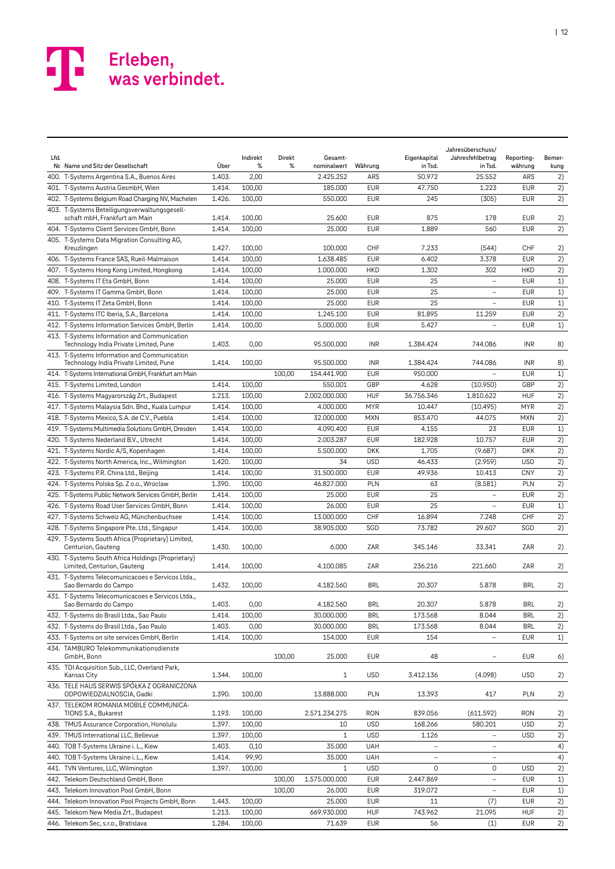| Lfd. | Nr. Name und Sitz der Gesellschaft                                                     | Über   | Indirekt<br>% | Direkt<br>% | Gesamt-<br>nominalwert | Währung    | Eigenkapital<br>in Tsd.  | Jahresüberschuss/<br>Jahresfehlbetrag<br>in Tsd. | Reporting-<br>währung | Bemer-<br>kung |
|------|----------------------------------------------------------------------------------------|--------|---------------|-------------|------------------------|------------|--------------------------|--------------------------------------------------|-----------------------|----------------|
|      | 400. T-Systems Argentina S.A., Buenos Aires                                            | 1.403. | 2,00          |             | 2.425.252              | ARS        | 50.972                   | 25.552                                           | ARS                   | 2)             |
|      | 401. T-Systems Austria GesmbH, Wien                                                    | 1.414. | 100,00        |             | 185.000                | <b>EUR</b> | 47.750                   | 1.223                                            | <b>EUR</b>            | 2)             |
|      | 402. T-Systems Belgium Road Charging NV, Machelen                                      | 1.426. | 100,00        |             | 550.000                | <b>EUR</b> | 245                      | (305)                                            | <b>EUR</b>            | 2)             |
|      | 403. T-Systems Beteiligungsverwaltungsgesell-<br>schaft mbH, Frankfurt am Main         | 1.414. | 100,00        |             | 25.600                 | <b>EUR</b> | 875                      | 178                                              | <b>EUR</b>            | 2)             |
|      | 404. T-Systems Client Services GmbH, Bonn                                              | 1.414. | 100,00        |             | 25.000                 | <b>EUR</b> | 1.889                    | 560                                              | <b>EUR</b>            | 2)             |
|      | 405. T-Systems Data Migration Consulting AG,                                           |        |               |             |                        |            |                          |                                                  |                       |                |
|      | Kreuzlingen                                                                            | 1.427. | 100,00        |             | 100.000                | CHF        | 7.233                    | (544)                                            | CHF                   | 2)             |
|      | 406. T-Systems France SAS, Rueil-Malmaison                                             | 1.414. | 100,00        |             | 1.638.485              | <b>EUR</b> | 6.402                    | 3.378                                            | <b>EUR</b>            | 2)             |
|      | 407. T-Systems Hong Kong Limited, Hongkong                                             | 1.414. | 100,00        |             | 1.000.000              | <b>HKD</b> | 1.302                    | 302                                              | <b>HKD</b>            | 2)             |
|      | 408. T-Systems IT Eta GmbH, Bonn                                                       | 1.414. | 100,00        |             | 25.000                 | <b>EUR</b> | 25                       |                                                  | <b>EUR</b>            | 1)             |
|      | 409. T-Systems IT Gamma GmbH, Bonn                                                     | 1.414. | 100,00        |             | 25.000                 | <b>EUR</b> | 25                       | $\overline{\phantom{a}}$                         | <b>EUR</b>            | 1)             |
|      | 410. T-Systems IT Zeta GmbH, Bonn                                                      | 1.414. | 100,00        |             | 25.000                 | <b>EUR</b> | 25                       | $\overline{\phantom{0}}$                         | <b>EUR</b>            | 1)             |
|      | 411. T-Systems ITC Iberia, S.A., Barcelona                                             | 1.414. | 100,00        |             | 1.245.100              | <b>EUR</b> | 81.895                   | 11.259                                           | <b>EUR</b>            | 2)             |
|      | 412. T-Systems Information Services GmbH, Berlin                                       | 1.414. | 100,00        |             | 5.000.000              | <b>EUR</b> | 5.427                    | $\overline{\phantom{0}}$                         | <b>EUR</b>            | 1)             |
|      | 413. T-Systems Information and Communication<br>Technology India Private Limited, Pune | 1.403. | 0,00          |             | 95.500.000             | <b>INR</b> | 1.384.424                | 744.086                                          | <b>INR</b>            | 8)             |
|      | 413. T-Systems Information and Communication<br>Technology India Private Limited, Pune | 1.414. | 100,00        |             | 95.500.000             | <b>INR</b> | 1.384.424                | 744.086                                          | <b>INR</b>            | 8)             |
|      | 414. T-Systems International GmbH, Frankfurt am Main                                   |        |               | 100,00      | 154.441.900            | EUR        | 950.000                  |                                                  | <b>EUR</b>            | 1)             |
|      | 415. T-Systems Limited, London                                                         | 1.414. | 100,00        |             | 550.001                | GBP        | 4.628                    | (10.950)                                         | GBP                   | 2)             |
|      | 416. T-Systems Magyarország Zrt., Budapest                                             | 1.213. | 100,00        |             | 2.002.000.000          | <b>HUF</b> | 36.756.346               | 1.810.622                                        | <b>HUF</b>            | 2)             |
|      | 417. T-Systems Malaysia Sdn. Bhd., Kuala Lumpur                                        | 1.414. | 100,00        |             | 4.000.000              | <b>MYR</b> | 10.447                   | (10.495)                                         | <b>MYR</b>            | 2)             |
|      | 418. T-Systems Mexico, S.A. de C.V., Puebla                                            | 1.414. | 100,00        |             | 32.000.000             | <b>MXN</b> | 853.470                  | 44.075                                           | <b>MXN</b>            | 2)             |
|      | 419. T-Systems Multimedia Solutions GmbH, Dresden                                      | 1.414. | 100,00        |             | 4.090.400              | <b>EUR</b> | 4.155                    | 23                                               | <b>EUR</b>            | 1)             |
|      | 420. T-Systems Nederland B.V., Utrecht                                                 | 1.414. | 100,00        |             | 2.003.287              | <b>EUR</b> | 182.928                  | 10.757                                           | <b>EUR</b>            | 2)             |
|      | 421. T-Systems Nordic A/S, Kopenhagen                                                  | 1.414. | 100,00        |             | 5.500.000              | <b>DKK</b> | 1.705                    | (9.687)                                          | <b>DKK</b>            | 2)             |
|      | 422. T-Systems North America, Inc., Wilmington                                         | 1.420. | 100,00        |             | 34                     | <b>USD</b> | 46.433                   | (2.959)                                          | <b>USD</b>            | 2)             |
|      | 423. T-Systems P.R. China Ltd., Beijing                                                | 1.414. | 100,00        |             | 31.500.000             | <b>EUR</b> | 49.936                   | 10.413                                           | <b>CNY</b>            | 2)             |
|      | 424. T-Systems Polska Sp. Z o.o., Wroclaw                                              | 1.390. | 100,00        |             | 46.827.000             | PLN        | 63                       | (8.581)                                          | PLN                   | 2)             |
|      | 425. T-Systems Public Network Services GmbH, Berlin                                    | 1.414. | 100,00        |             | 25.000                 | <b>EUR</b> | 25                       | $\overline{\phantom{0}}$                         | <b>EUR</b>            | 2)             |
|      | 426. T-Systems Road User Services GmbH, Bonn                                           | 1.414. | 100,00        |             | 26.000                 | <b>EUR</b> | 25                       |                                                  | <b>EUR</b>            | 1)             |
|      | 427. T-Systems Schweiz AG, Münchenbuchsee                                              | 1.414. | 100,00        |             | 13.000.000             | CHF        | 16.894                   | 7.248                                            | CHF                   | 2)             |
|      | 428. T-Systems Singapore Pte. Ltd., Singapur                                           | 1.414. | 100,00        |             | 38.905.000             | SGD        | 73.782                   | 29.607                                           | SGD                   | 2)             |
|      | 429. T-Systems South Africa (Proprietary) Limited,                                     |        |               |             |                        |            |                          |                                                  |                       |                |
|      | Centurion, Gauteng<br>430. T-Systems South Africa Holdings (Proprietary)               | 1.430. | 100,00        |             | 6.000                  | ZAR        | 345.146                  | 33.341                                           | ZAR                   | 2)             |
|      | Limited, Centurion, Gauteng                                                            | 1.414. | 100,00        |             | 4.100.085              | ZAR        | 236.216                  | 221.660                                          | ZAR                   | 2)             |
|      | 431. T-Systems Telecomunicacoes e Servicos Ltda.,<br>Sao Bernardo do Campo             | 1.432. | 100,00        |             | 4.182.560              | <b>BRL</b> | 20.307                   | 5.878                                            | <b>BRL</b>            | 2)             |
|      | 431. T-Systems Telecomunicacoes e Servicos Ltda.,<br>Sao Bernardo do Campo             | 1.403. | 0,00          |             | 4.182.560              | <b>BRL</b> | 20.307                   | 5.878                                            | <b>BRL</b>            | 2)             |
|      | 432. T-Systems do Brasil Ltda., Sao Paulo                                              | 1.414. | 100,00        |             | 30.000.000             | <b>BRL</b> | 173.568                  | 8.044                                            | <b>BRL</b>            | 2)             |
|      | 432. T-Systems do Brasil Ltda., Sao Paulo                                              | 1.403. | 0,00          |             | 30.000.000             | <b>BRL</b> | 173.568                  | 8.044                                            | <b>BRL</b>            | 2)             |
|      | 433. T-Systems on site services GmbH, Berlin                                           | 1.414. | 100,00        |             | 154.000                | EUR        | 154                      |                                                  | <b>EUR</b>            | 1)             |
|      | 434. TAMBURO Telekommunikationsdienste<br>GmbH, Bonn                                   |        |               | 100,00      | 25.000                 | <b>EUR</b> | 48                       |                                                  | <b>EUR</b>            | 6)             |
|      | 435. TDI Acquisition Sub., LLC, Overland Park,<br>Kansas City                          | 1.344. | 100,00        |             | 1                      | <b>USD</b> | 3.412.136                | (4.098)                                          | <b>USD</b>            | 2)             |
|      | 436. TELE HAUS SERWIS SPÓŁKA Z OGRANICZONA<br>ODPOWIEDZIALNOSCIA, Gadki                | 1.390. | 100,00        |             | 13.888.000             | <b>PLN</b> | 13.393                   | 417                                              | PLN                   | 2)             |
|      | 437. TELEKOM ROMANIA MOBILE COMMUNICA-<br>TIONS S.A., Bukarest                         | 1.193. | 100,00        |             | 2.571.234.275          | <b>RON</b> | 839.056                  | (611.592)                                        | <b>RON</b>            | 2)             |
|      | 438. TMUS Assurance Corporation, Honolulu                                              | 1.397. | 100,00        |             | 10                     | <b>USD</b> | 168.266                  | 580.201                                          | <b>USD</b>            | 2)             |
|      | 439. TMUS International LLC, Bellevue                                                  | 1.397. | 100,00        |             | $\mathbf{1}$           | <b>USD</b> | 1.126                    | $\overline{\phantom{a}}$                         | <b>USD</b>            | 2)             |
|      | 440. TOB T-Systems Ukraine i. L., Kiew                                                 | 1.403. | 0,10          |             | 35.000                 | UAH        |                          | $\qquad \qquad -$                                |                       | 4)             |
|      | 440. TOB T-Systems Ukraine i. L., Kiew                                                 | 1.414. | 99,90         |             | 35.000                 | UAH        | $\overline{\phantom{0}}$ | $\overline{\phantom{a}}$                         |                       | 4)             |
|      | 441. TVN Ventures, LLC, Wilmington                                                     | 1.397. | 100,00        |             | 1                      | <b>USD</b> | 0                        | 0                                                | <b>USD</b>            | 2)             |
|      | 442. Telekom Deutschland GmbH, Bonn                                                    |        |               | 100,00      | 1.575.000.000          | <b>EUR</b> | 2.447.869                | $\overline{\phantom{a}}$                         | <b>EUR</b>            | 1)             |
|      | 443. Telekom Innovation Pool GmbH, Bonn                                                |        |               | 100,00      | 26.000                 | <b>EUR</b> | 319.072                  | $\overline{\phantom{0}}$                         | <b>EUR</b>            | 1)             |
|      | 444. Telekom Innovation Pool Projects GmbH, Bonn                                       | 1.443. | 100,00        |             | 25.000                 | <b>EUR</b> | 11                       | (7)                                              | <b>EUR</b>            | 2)             |
|      | 445. Telekom New Media Zrt., Budapest                                                  | 1.213. | 100,00        |             | 669.930.000            | <b>HUF</b> | 743.962                  | 21.095                                           | <b>HUF</b>            | 2)             |
|      | 446. Telekom Sec, s.r.o., Bratislava                                                   | 1.284. | 100,00        |             | 71.639                 | <b>EUR</b> | 56                       | (1)                                              | <b>EUR</b>            | 2)             |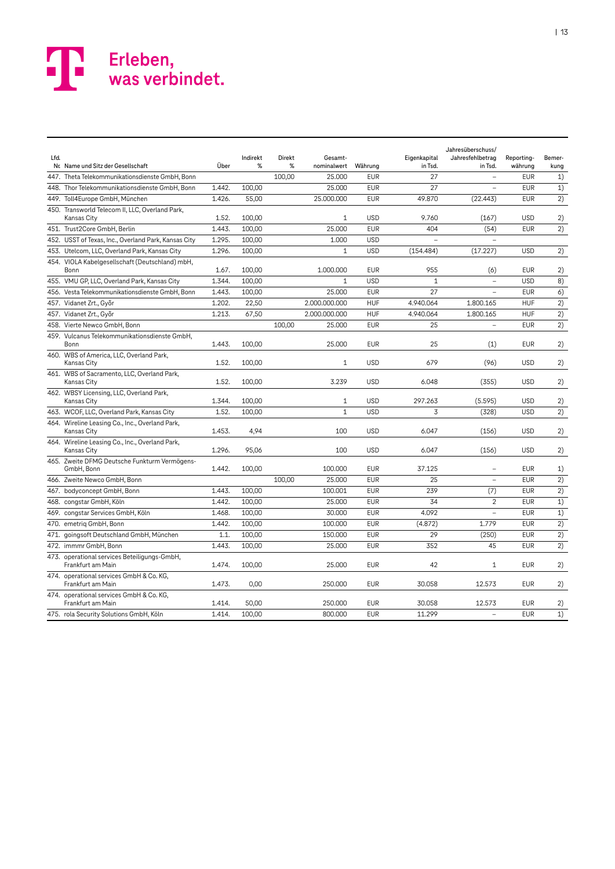| Lfd. |                                                                   |        | Indirekt | Direkt | Gesamt-       |            | Eigenkapital | Jahresüberschuss/<br>Jahresfehlbetrag | Reporting- | Bemer- |
|------|-------------------------------------------------------------------|--------|----------|--------|---------------|------------|--------------|---------------------------------------|------------|--------|
|      | Nr. Name und Sitz der Gesellschaft                                | Über   | %        | %      | nominalwert   | Währung    | in Tsd.      | in Tsd.                               | währung    | kung   |
|      | 447. Theta Telekommunikationsdienste GmbH, Bonn                   |        |          | 100,00 | 25.000        | <b>EUR</b> | 27           | $\qquad \qquad -$                     | <b>EUR</b> | 1)     |
|      | 448. Thor Telekommunikationsdienste GmbH, Bonn                    | 1.442. | 100,00   |        | 25.000        | <b>EUR</b> | 27           | $\overline{\phantom{a}}$              | <b>EUR</b> | 1)     |
|      | 449. Toll4Europe GmbH, München                                    | 1.426. | 55,00    |        | 25.000.000    | <b>EUR</b> | 49.870       | (22.443)                              | <b>EUR</b> | 2)     |
|      | 450. Transworld Telecom II, LLC, Overland Park,<br>Kansas City    | 1.52.  | 100,00   |        | $\mathbf{1}$  | <b>USD</b> | 9.760        | (167)                                 | <b>USD</b> | 2)     |
|      | 451. Trust2Core GmbH, Berlin                                      | 1.443. | 100,00   |        | 25.000        | <b>EUR</b> | 404          | (54)                                  | <b>EUR</b> | 2)     |
|      | 452. USST of Texas, Inc., Overland Park, Kansas City              | 1.295. | 100,00   |        | 1.000         | <b>USD</b> |              |                                       |            |        |
|      | 453. Utelcom, LLC, Overland Park, Kansas City                     | 1.296. | 100,00   |        | $\mathbf{1}$  | <b>USD</b> | (154.484)    | (17.227)                              | <b>USD</b> | 2)     |
|      | 454. VIOLA Kabelgesellschaft (Deutschland) mbH,<br>Bonn           | 1.67.  | 100,00   |        | 1.000.000     | <b>EUR</b> | 955          | (6)                                   | <b>EUR</b> | 2)     |
|      | 455. VMU GP, LLC, Overland Park, Kansas City                      | 1.344. | 100,00   |        | $\mathbf{1}$  | <b>USD</b> | $\mathbf{1}$ | $\overline{\phantom{a}}$              | <b>USD</b> | 8)     |
|      | 456. Vesta Telekommunikationsdienste GmbH, Bonn                   | 1.443. | 100,00   |        | 25.000        | <b>EUR</b> | 27           |                                       | <b>EUR</b> | 6)     |
|      | 457. Vidanet Zrt., Győr                                           | 1.202. | 22,50    |        | 2.000.000.000 | <b>HUF</b> | 4.940.064    | 1.800.165                             | <b>HUF</b> | 2)     |
|      | 457. Vidanet Zrt., Győr                                           | 1.213. | 67,50    |        | 2.000.000.000 | <b>HUF</b> | 4.940.064    | 1.800.165                             | <b>HUF</b> | 2)     |
|      | 458. Vierte Newco GmbH, Bonn                                      |        |          | 100,00 | 25.000        | <b>EUR</b> | 25           | $\overline{a}$                        | <b>EUR</b> | 2)     |
|      | 459. Vulcanus Telekommunikationsdienste GmbH,<br>Bonn             | 1.443. | 100,00   |        | 25.000        | <b>EUR</b> | 25           | (1)                                   | <b>EUR</b> | 2)     |
|      | 460. WBS of America, LLC, Overland Park,<br>Kansas City           | 1.52.  | 100.00   |        | $\mathbf{1}$  | <b>USD</b> | 679          | (96)                                  | <b>USD</b> | 2)     |
|      | 461. WBS of Sacramento, LLC, Overland Park,<br>Kansas City        | 1.52.  | 100,00   |        | 3.239         | <b>USD</b> | 6.048        | (355)                                 | <b>USD</b> | 2)     |
|      | 462. WBSY Licensing, LLC, Overland Park,<br>Kansas City           | 1.344. | 100,00   |        | $\mathbf{1}$  | <b>USD</b> | 297.263      | (5.595)                               | <b>USD</b> | 2)     |
|      | 463. WCOF, LLC, Overland Park, Kansas City                        | 1.52.  | 100,00   |        | $\mathbf{1}$  | <b>USD</b> | 3            | (328)                                 | <b>USD</b> | 2)     |
|      | 464. Wireline Leasing Co., Inc., Overland Park,<br>Kansas City    | 1.453. | 4,94     |        | 100           | <b>USD</b> | 6.047        | (156)                                 | <b>USD</b> | 2)     |
|      | 464. Wireline Leasing Co., Inc., Overland Park,<br>Kansas City    | 1.296. | 95,06    |        | 100           | <b>USD</b> | 6.047        | (156)                                 | <b>USD</b> | 2)     |
|      | 465. Zweite DFMG Deutsche Funkturm Vermögens-<br>GmbH, Bonn       | 1.442. | 100,00   |        | 100.000       | <b>EUR</b> | 37.125       | $\overline{\phantom{a}}$              | <b>EUR</b> | 1)     |
|      | 466. Zweite Newco GmbH, Bonn                                      |        |          | 100,00 | 25.000        | <b>EUR</b> | 25           |                                       | <b>EUR</b> | 2)     |
|      | 467. bodyconcept GmbH, Bonn                                       | 1.443. | 100,00   |        | 100.001       | <b>EUR</b> | 239          | (7)                                   | <b>EUR</b> | 2)     |
|      | 468. congstar GmbH, Köln                                          | 1.442. | 100.00   |        | 25.000        | <b>EUR</b> | 34           | $\overline{2}$                        | <b>EUR</b> | 1)     |
|      | 469. congstar Services GmbH, Köln                                 | 1.468. | 100,00   |        | 30.000        | <b>EUR</b> | 4.092        | $\overline{\phantom{0}}$              | <b>EUR</b> | 1)     |
|      | 470. emetrig GmbH, Bonn                                           | 1.442. | 100,00   |        | 100.000       | <b>EUR</b> | (4.872)      | 1.779                                 | <b>EUR</b> | 2)     |
|      | 471. goingsoft Deutschland GmbH, München                          | 1.1.   | 100,00   |        | 150.000       | <b>EUR</b> | 29           | (250)                                 | <b>EUR</b> | 2)     |
|      | 472. immmr GmbH, Bonn                                             | 1.443. | 100,00   |        | 25.000        | <b>EUR</b> | 352          | 45                                    | <b>EUR</b> | 2)     |
|      | 473. operational services Beteiligungs-GmbH,<br>Frankfurt am Main | 1.474. | 100,00   |        | 25.000        | <b>EUR</b> | 42           | $\mathbf{1}$                          | <b>EUR</b> | 2)     |
|      | 474. operational services GmbH & Co. KG,<br>Frankfurt am Main     | 1.473. | 0,00     |        | 250.000       | <b>EUR</b> | 30.058       | 12.573                                | <b>EUR</b> | 2)     |
|      | 474. operational services GmbH & Co. KG,<br>Frankfurt am Main     | 1.414. | 50,00    |        | 250.000       | <b>EUR</b> | 30.058       | 12.573                                | <b>EUR</b> | 2)     |
|      | 475. rola Security Solutions GmbH, Köln                           | 1.414. | 100.00   |        | 800,000       | <b>EUR</b> | 11.299       | $\overline{a}$                        | <b>EUR</b> | 1)     |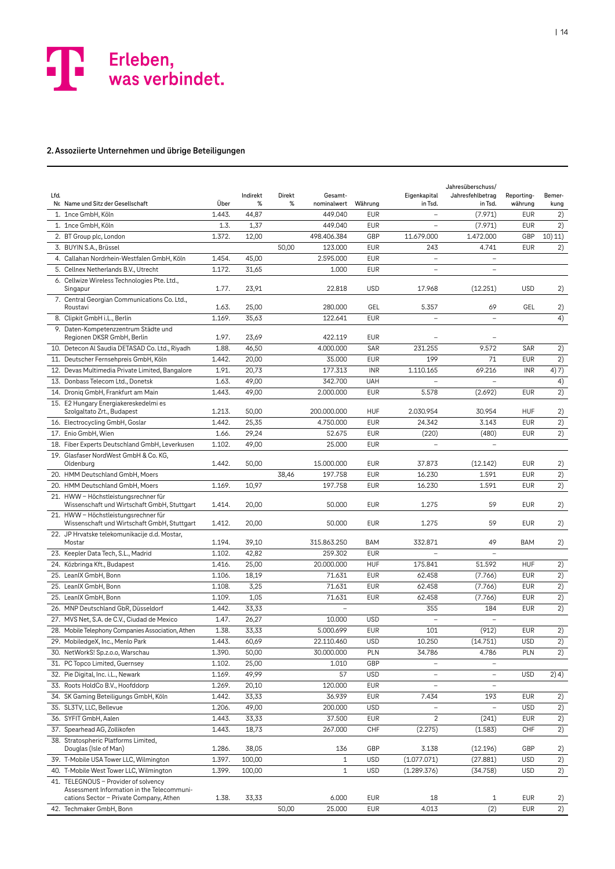

#### **2. Assoziierte Unternehmen und übrige Beteiligungen**

| Lfd. | Nr Name und Sitz der Gesellschaft                                                   | Über   | Indirekt<br>% | Direkt<br>℅ | Gesamt-<br>nominalwert | Währung    | Eigenkapital<br>in Tsd.  | Jahresüberschuss/<br>Jahresfehlbetrag<br>in Tsd. | Reporting-<br>währung | Bemer-<br>kung  |
|------|-------------------------------------------------------------------------------------|--------|---------------|-------------|------------------------|------------|--------------------------|--------------------------------------------------|-----------------------|-----------------|
|      | 1. 1nce GmbH. Köln                                                                  | 1.443. | 44,87         |             | 449.040                | <b>EUR</b> |                          | (7.971)                                          | <b>EUR</b>            | 2)              |
|      | 1. 1nce GmbH, Köln                                                                  | 1.3.   | 1,37          |             | 449.040                | <b>EUR</b> | $\overline{a}$           | (7.971)                                          | <b>EUR</b>            | 2)              |
|      | 2. BT Group plc, London                                                             | 1.372. | 12,00         |             | 498.406.384            | GBP        | 11.679.000               | 1.472.000                                        | GBP                   | 10) 11)         |
|      | 3. BUYIN S.A., Brüssel                                                              |        |               | 50,00       | 123.000                | <b>EUR</b> | 243                      | 4.741                                            | <b>EUR</b>            | 2)              |
|      | 4. Callahan Nordrhein-Westfalen GmbH, Köln                                          | 1.454. | 45,00         |             | 2.595.000              | <b>EUR</b> |                          | $\overline{a}$                                   |                       |                 |
|      | 5. Cellnex Netherlands B.V., Utrecht                                                | 1.172. | 31,65         |             | 1.000                  | <b>EUR</b> | $\overline{a}$           | $\bar{\phantom{0}}$                              |                       |                 |
|      | 6. Cellwize Wireless Technologies Pte. Ltd.,<br>Singapur                            | 1.77.  | 23,91         |             | 22.818                 | <b>USD</b> | 17.968                   | (12.251)                                         | <b>USD</b>            | 2)              |
|      | 7. Central Georgian Communications Co. Ltd.,<br>Roustavi                            | 1.63.  | 25,00         |             | 280,000                | GEL        | 5.357                    | 69                                               | GEL                   | 2)              |
|      | 8. Clipkit GmbH i.L., Berlin                                                        | 1.169. | 35,63         |             | 122.641                | <b>EUR</b> | $\overline{\phantom{0}}$ | $\bar{\phantom{0}}$                              |                       | 4)              |
|      | 9. Daten-Kompetenzzentrum Städte und<br>Regionen DKSR GmbH, Berlin                  | 1.97.  | 23,69         |             | 422.119                | <b>EUR</b> |                          |                                                  |                       |                 |
|      | 10. Detecon Al Saudia DETASAD Co. Ltd., Riyadh                                      | 1.88.  | 46,50         |             | 4.000.000              | SAR        | 231.255                  | 9.572                                            | SAR                   | 2)              |
|      | 11. Deutscher Fernsehpreis GmbH, Köln                                               | 1.442. | 20,00         |             | 35.000                 | <b>EUR</b> | 199                      | 71                                               | <b>EUR</b>            | 2)              |
|      | 12. Devas Multimedia Private Limited, Bangalore                                     | 1.91.  | 20,73         |             | 177.313                | <b>INR</b> | 1.110.165                | 69.216                                           | <b>INR</b>            | 4) 7)           |
|      | 13. Donbass Telecom Ltd., Donetsk                                                   | 1.63.  | 49,00         |             | 342.700                | <b>UAH</b> |                          |                                                  |                       | 4)              |
|      | 14. Droniq GmbH, Frankfurt am Main<br>15. E2 Hungary Energiakereskedelmi es         | 1.443. | 49,00         |             | 2.000.000              | <b>EUR</b> | 5.578                    | (2.692)                                          | <b>EUR</b>            | 2)              |
|      | Szolgaltato Zrt., Budapest                                                          | 1.213. | 50,00         |             | 200.000.000            | <b>HUF</b> | 2.030.954                | 30.954                                           | <b>HUF</b>            | 2)              |
|      | 16. Electrocycling GmbH, Goslar                                                     | 1.442. | 25,35         |             | 4.750.000              | <b>EUR</b> | 24.342                   | 3.143                                            | <b>EUR</b>            | 2)              |
|      | 17. Enio GmbH, Wien                                                                 | 1.66.  | 29,24         |             | 52.675                 | <b>EUR</b> | (220)                    | (480)                                            | <b>EUR</b>            | 2)              |
|      | 18. Fiber Experts Deutschland GmbH, Leverkusen                                      | 1.102. | 49,00         |             | 25.000                 | <b>EUR</b> |                          |                                                  |                       |                 |
|      | 19. Glasfaser NordWest GmbH & Co. KG,<br>Oldenburg                                  | 1.442. | 50,00         |             | 15,000,000             | <b>EUR</b> | 37.873                   | (12.142)                                         | <b>EUR</b>            | 2)              |
|      | 20. HMM Deutschland GmbH, Moers                                                     |        |               | 38,46       | 197.758                | <b>EUR</b> | 16.230                   | 1.591                                            | <b>EUR</b>            | 2)              |
|      | 20. HMM Deutschland GmbH, Moers                                                     | 1.169. | 10,97         |             | 197.758                | <b>EUR</b> | 16.230                   | 1.591                                            | <b>EUR</b>            | 2)              |
|      | 21. HWW - Höchstleistungsrechner für<br>Wissenschaft und Wirtschaft GmbH, Stuttgart | 1.414. | 20,00         |             | 50.000                 | <b>EUR</b> | 1.275                    | 59                                               | <b>EUR</b>            | 2)              |
|      | 21. HWW - Höchstleistungsrechner für<br>Wissenschaft und Wirtschaft GmbH, Stuttgart | 1.412. | 20,00         |             | 50.000                 | <b>EUR</b> | 1.275                    | 59                                               | EUR                   | 2)              |
|      | 22. JP Hrvatske telekomunikacije d.d. Mostar,<br>Mostar                             | 1.194. | 39,10         |             | 315.863.250            | <b>BAM</b> | 332.871                  | 49                                               | <b>BAM</b>            | 2)              |
|      | 23. Keepler Data Tech, S.L., Madrid                                                 | 1.102. | 42,82         |             | 259.302                | <b>EUR</b> |                          | $\overline{\phantom{0}}$                         |                       |                 |
|      | 24. Közbringa Kft., Budapest                                                        | 1.416. | 25,00         |             | 20.000.000             | <b>HUF</b> | 175.841                  | 51.592                                           | <b>HUF</b>            | 2)              |
|      | 25. LeanIX GmbH, Bonn                                                               | 1.106. | 18,19         |             | 71.631                 | <b>EUR</b> | 62.458                   | (7.766)                                          | <b>EUR</b>            | 2)              |
|      | 25. LeanIX GmbH, Bonn                                                               | 1.108. | 3,25          |             | 71.631                 | <b>EUR</b> | 62.458                   | (7.766)                                          | <b>EUR</b>            | 2)              |
|      | 25. LeanIX GmbH, Bonn                                                               | 1.109. | 1,05          |             | 71.631                 | <b>EUR</b> | 62.458                   | (7.766)                                          | <b>EUR</b>            | 2)              |
|      | 26. MNP Deutschland GbR, Düsseldorf                                                 | 1.442. | 33,33         |             |                        |            | 355                      | 184                                              | <b>EUR</b>            | 2)              |
|      | 27. MVS Net, S.A. de C.V., Ciudad de Mexico                                         | 1.47.  | 26,27         |             | 10.000                 | <b>USD</b> | $\overline{a}$           |                                                  |                       |                 |
|      | 28. Mobile Telephony Companies Association, Athen                                   | 1.38.  | 33,33         |             | 5.000.699              | <b>EUR</b> | 101                      | (912)                                            | <b>EUR</b>            | 2)              |
|      | 29. MobiledgeX, Inc., Menlo Park                                                    | 1.443. | 60,69         |             | 22.110.460             | <b>USD</b> | 10.250                   | (14.751)                                         | <b>USD</b>            | $\overline{2)}$ |
|      | 30. NetWorkS! Sp.z.o.o, Warschau                                                    | 1.390. | 50,00         |             | 30.000.000             | PLN        | 34.786                   | 4.786                                            | PLN                   | 2)              |
|      | 31. PC Topco Limited, Guernsey                                                      | 1.102. | 25,00         |             | 1.010                  | GBP        |                          | $\overline{a}$                                   |                       |                 |
|      | 32. Pie Digital, Inc. i.L., Newark                                                  | 1.169. | 49,99         |             | 57                     | <b>USD</b> | $\qquad \qquad -$        | $\qquad \qquad -$                                | <b>USD</b>            | 2) 4)           |
|      | 33. Roots HoldCo B.V., Hoofddorp                                                    | 1.269. | 20,10         |             | 120.000                | <b>EUR</b> | $\overline{\phantom{a}}$ | -                                                |                       |                 |
|      | 34. SK Gaming Beteiligungs GmbH, Köln                                               | 1.442. | 33,33         |             | 36.939                 | <b>EUR</b> | 7.434                    | 193                                              | <b>EUR</b>            | 2)              |
|      | 35. SL3TV, LLC, Bellevue                                                            | 1.206. | 49,00         |             | 200.000                | <b>USD</b> |                          | $\overline{\phantom{0}}$                         | <b>USD</b>            | 2)              |
|      | 36. SYFIT GmbH, Aalen                                                               | 1.443. | 33,33         |             | 37.500                 | <b>EUR</b> | 2                        | (241)                                            | <b>EUR</b>            | 2)              |
|      | 37. Spearhead AG, Zollikofen                                                        | 1.443. | 18,73         |             | 267.000                | CHF        | (2.275)                  | (1.583)                                          | CHF                   | 2)              |
|      | 38. Stratospheric Platforms Limited,<br>Douglas (Isle of Man)                       | 1.286. | 38,05         |             | 136                    | GBP        | 3.138                    | (12.196)                                         | GBP                   | 2)              |
|      | 39. T-Mobile USA Tower LLC, Wilmington                                              | 1.397. | 100,00        |             | $\mathbf{1}$           | <b>USD</b> | (1.077.071)              | (27.881)                                         | <b>USD</b>            | 2)              |
|      | 40. T-Mobile West Tower LLC, Wilmington                                             | 1.399. | 100,00        |             | $\mathbf{1}$           | <b>USD</b> | (1.289.376)              | (34.758)                                         | <b>USD</b>            | 2)              |
|      | 41. TELEGNOUS - Provider of solvency<br>Assessment Information in the Telecommuni-  |        |               |             |                        |            |                          |                                                  |                       |                 |
|      | cations Sector - Private Company, Athen                                             | 1.38.  | 33,33         |             | 6.000                  | <b>EUR</b> | 18                       | 1                                                | <b>EUR</b>            | 2)              |
|      | 42. Techmaker GmbH, Bonn                                                            |        |               | 50,00       | 25.000                 | <b>EUR</b> | 4.013                    | (2)                                              | <b>EUR</b>            | 2)              |